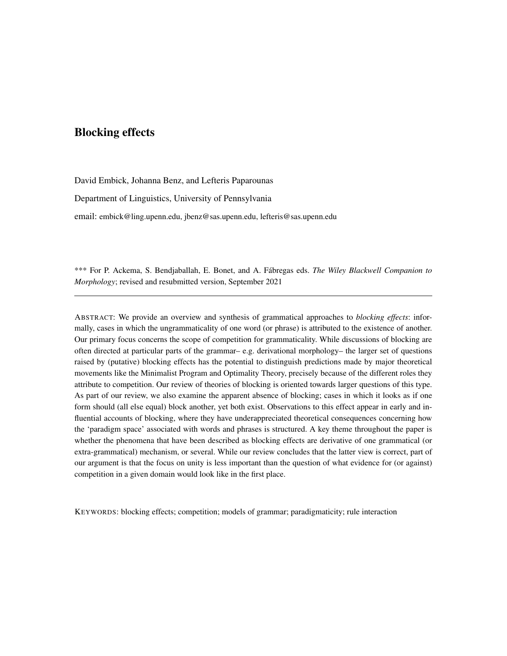## Blocking effects

David Embick, Johanna Benz, and Lefteris Paparounas

Department of Linguistics, University of Pennsylvania

email: embick@ling.upenn.edu, jbenz@sas.upenn.edu, lefteris@sas.upenn.edu

\*\*\* For P. Ackema, S. Bendjaballah, E. Bonet, and A. Fábregas eds. *The Wiley Blackwell Companion to Morphology*; revised and resubmitted version, September 2021

ABSTRACT: We provide an overview and synthesis of grammatical approaches to *blocking effects*: informally, cases in which the ungrammaticality of one word (or phrase) is attributed to the existence of another. Our primary focus concerns the scope of competition for grammaticality. While discussions of blocking are often directed at particular parts of the grammar– e.g. derivational morphology– the larger set of questions raised by (putative) blocking effects has the potential to distinguish predictions made by major theoretical movements like the Minimalist Program and Optimality Theory, precisely because of the different roles they attribute to competition. Our review of theories of blocking is oriented towards larger questions of this type. As part of our review, we also examine the apparent absence of blocking; cases in which it looks as if one form should (all else equal) block another, yet both exist. Observations to this effect appear in early and influential accounts of blocking, where they have underappreciated theoretical consequences concerning how the 'paradigm space' associated with words and phrases is structured. A key theme throughout the paper is whether the phenomena that have been described as blocking effects are derivative of one grammatical (or extra-grammatical) mechanism, or several. While our review concludes that the latter view is correct, part of our argument is that the focus on unity is less important than the question of what evidence for (or against) competition in a given domain would look like in the first place.

KEYWORDS: blocking effects; competition; models of grammar; paradigmaticity; rule interaction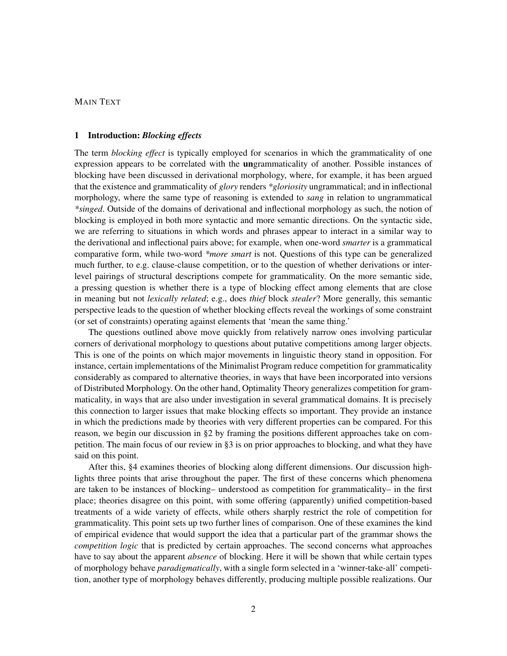## MAIN TEXT

## 1 Introduction: *Blocking effects*

The term *blocking effect* is typically employed for scenarios in which the grammaticality of one expression appears to be correlated with the ungrammaticality of another. Possible instances of blocking have been discussed in derivational morphology, where, for example, it has been argued that the existence and grammaticality of *glory* renders *\*gloriosity* ungrammatical; and in inflectional morphology, where the same type of reasoning is extended to *sang* in relation to ungrammatical *\*singed*. Outside of the domains of derivational and inflectional morphology as such, the notion of blocking is employed in both more syntactic and more semantic directions. On the syntactic side, we are referring to situations in which words and phrases appear to interact in a similar way to the derivational and inflectional pairs above; for example, when one-word *smarter* is a grammatical comparative form, while two-word *\*more smart* is not. Questions of this type can be generalized much further, to e.g. clause-clause competition, or to the question of whether derivations or interlevel pairings of structural descriptions compete for grammaticality. On the more semantic side, a pressing question is whether there is a type of blocking effect among elements that are close in meaning but not *lexically related*; e.g., does *thief* block *stealer*? More generally, this semantic perspective leads to the question of whether blocking effects reveal the workings of some constraint (or set of constraints) operating against elements that 'mean the same thing.'

The questions outlined above move quickly from relatively narrow ones involving particular corners of derivational morphology to questions about putative competitions among larger objects. This is one of the points on which major movements in linguistic theory stand in opposition. For instance, certain implementations of the Minimalist Program reduce competition for grammaticality considerably as compared to alternative theories, in ways that have been incorporated into versions of Distributed Morphology. On the other hand, Optimality Theory generalizes competition for grammaticality, in ways that are also under investigation in several grammatical domains. It is precisely this connection to larger issues that make blocking effects so important. They provide an instance in which the predictions made by theories with very different properties can be compared. For this reason, we begin our discussion in §2 by framing the positions different approaches take on competition. The main focus of our review in §3 is on prior approaches to blocking, and what they have said on this point.

After this, §4 examines theories of blocking along different dimensions. Our discussion highlights three points that arise throughout the paper. The first of these concerns which phenomena are taken to be instances of blocking– understood as competition for grammaticality– in the first place; theories disagree on this point, with some offering (apparently) unified competition-based treatments of a wide variety of effects, while others sharply restrict the role of competition for grammaticality. This point sets up two further lines of comparison. One of these examines the kind of empirical evidence that would support the idea that a particular part of the grammar shows the *competition logic* that is predicted by certain approaches. The second concerns what approaches have to say about the apparent *absence* of blocking. Here it will be shown that while certain types of morphology behave *paradigmatically*, with a single form selected in a 'winner-take-all' competition, another type of morphology behaves differently, producing multiple possible realizations. Our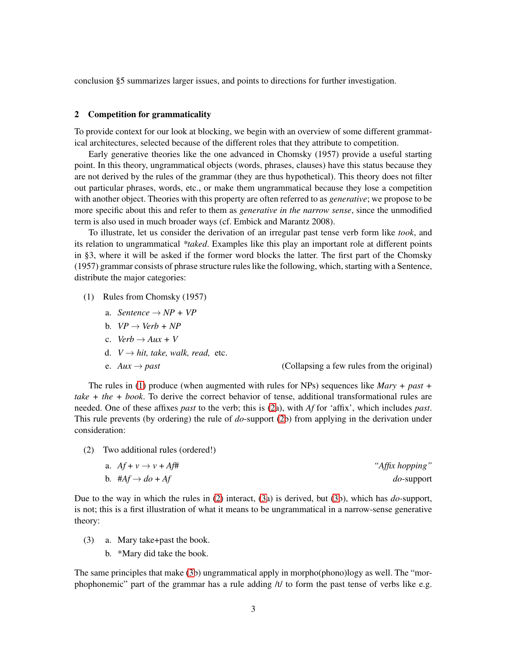conclusion §5 summarizes larger issues, and points to directions for further investigation.

## 2 Competition for grammaticality

To provide context for our look at blocking, we begin with an overview of some different grammatical architectures, selected because of the different roles that they attribute to competition.

Early generative theories like the one advanced in Chomsky (1957) provide a useful starting point. In this theory, ungrammatical objects (words, phrases, clauses) have this status because they are not derived by the rules of the grammar (they are thus hypothetical). This theory does not filter out particular phrases, words, etc., or make them ungrammatical because they lose a competition with another object. Theories with this property are often referred to as *generative*; we propose to be more specific about this and refer to them as *generative in the narrow sense*, since the unmodified term is also used in much broader ways (cf. Embick and Marantz 2008).

To illustrate, let us consider the derivation of an irregular past tense verb form like *took*, and its relation to ungrammatical *\*taked*. Examples like this play an important role at different points in §3, where it will be asked if the former word blocks the latter. The first part of the Chomsky (1957) grammar consists of phrase structure rules like the following, which, starting with a Sentence, distribute the major categories:

- <span id="page-2-0"></span>(1) Rules from Chomsky (1957)
	- a. *Sentence*  $\rightarrow NP + VP$
	- b.  $VP \rightarrow Verb + NP$
	- c. *Verb*  $\rightarrow$  *Aux* + *V*
	- d.  $V \rightarrow hit$ , take, walk, read, etc.
	-

e.  $Aux \rightarrow past$  (Collapsing a few rules from the original)

The rules in [\(1\)](#page-2-0) produce (when augmented with rules for NPs) sequences like *Mary + past + take + the + book*. To derive the correct behavior of tense, additional transformational rules are needed. One of these affixes *past* to the verb; this is [\(2a](#page-2-1)), with *Af* for 'affix', which includes *past*. This rule prevents (by ordering) the rule of *do*-support [\(2b](#page-2-1)) from applying in the derivation under consideration:

<span id="page-2-1"></span>(2) Two additional rules (ordered!)

a. 
$$
Af + v \rightarrow v + Af^{\#}
$$
  
\nb.  $\#Af \rightarrow do + Af$   
\nc)  $\#Af \rightarrow do + Af$   
\ndo-support

Due to the way in which the rules in [\(2\)](#page-2-1) interact, [\(3a](#page-2-2)) is derived, but [\(3b](#page-2-2)), which has *do-*support, is not; this is a first illustration of what it means to be ungrammatical in a narrow-sense generative theory:

- <span id="page-2-2"></span>(3) a. Mary take+past the book.
	- b. \*Mary did take the book.

The same principles that make [\(3b](#page-2-2)) ungrammatical apply in morpho(phono)logy as well. The "morphophonemic" part of the grammar has a rule adding  $/t/$  to form the past tense of verbs like e.g.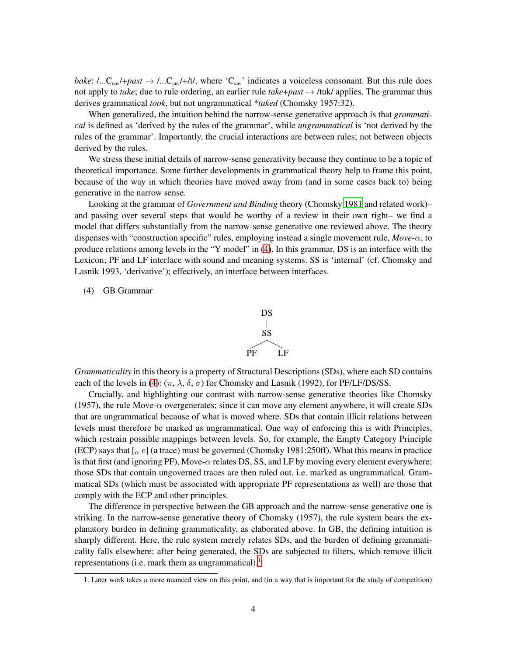*bake*: /...C<sub>unv</sub>/+*past*  $\rightarrow$  /...C<sub>unv</sub>/+/t/, where 'C<sub>unv</sub>' indicates a voiceless consonant. But this rule does not apply to *take*; due to rule ordering, an earlier rule *take*+*past* → /tuk/ applies. The grammar thus derives grammatical *took*, but not ungrammatical *\*taked* (Chomsky 1957:32).

When generalized, the intuition behind the narrow-sense generative approach is that *grammatical* is defined as 'derived by the rules of the grammar', while *ungrammatical* is 'not derived by the rules of the grammar'. Importantly, the crucial interactions are between rules; not between objects derived by the rules.

We stress these initial details of narrow-sense generativity because they continue to be a topic of theoretical importance. Some further developments in grammatical theory help to frame this point, because of the way in which theories have moved away from (and in some cases back to) being generative in the narrow sense.

Looking at the grammar of *Government and Binding* theory (Chomsky [1981](#page-34-0) and related work)– and passing over several steps that would be worthy of a review in their own right– we find a model that differs substantially from the narrow-sense generative one reviewed above. The theory dispenses with "construction specific" rules, employing instead a single movement rule, *Move-*α, to produce relations among levels in the "Y model" in [\(4\)](#page-3-0). In this grammar, DS is an interface with the Lexicon; PF and LF interface with sound and meaning systems. SS is 'internal' (cf. Chomsky and Lasnik 1993, 'derivative'); effectively, an interface between interfaces.

## <span id="page-3-0"></span>(4) GB Grammar



*Grammaticality* in this theory is a property of Structural Descriptions (SDs), where each SD contains each of the levels in [\(4\)](#page-3-0):  $(\pi, \lambda, \delta, \sigma)$  for Chomsky and Lasnik (1992), for PF/LF/DS/SS.

Crucially, and highlighting our contrast with narrow-sense generative theories like Chomsky (1957), the rule Move- $\alpha$  overgenerates; since it can move any element anywhere, it will create SDs that are ungrammatical because of what is moved where. SDs that contain illicit relations between levels must therefore be marked as ungrammatical. One way of enforcing this is with Principles, which restrain possible mappings between levels. So, for example, the Empty Category Principle (ECP) says that  $\lbrack \alpha e \rbrack$  (a trace) must be governed (Chomsky 1981:250ff). What this means in practice is that first (and ignoring PF), Move- $\alpha$  relates DS, SS, and LF by moving every element everywhere; those SDs that contain ungoverned traces are then ruled out, i.e. marked as ungrammatical. Grammatical SDs (which must be associated with appropriate PF representations as well) are those that comply with the ECP and other principles.

The difference in perspective between the GB approach and the narrow-sense generative one is striking. In the narrow-sense generative theory of Chomsky (1957), the rule system bears the explanatory burden in defining grammaticality, as elaborated above. In GB, the defining intuition is sharply different. Here, the rule system merely relates SDs, and the burden of defining grammaticality falls elsewhere: after being generated, the SDs are subjected to filters, which remove illicit representations (i.e. mark them as ungrammatical).<sup>[1](#page-3-1)</sup>

<span id="page-3-1"></span><sup>1.</sup> Later work takes a more nuanced view on this point, and (in a way that is important for the study of competition)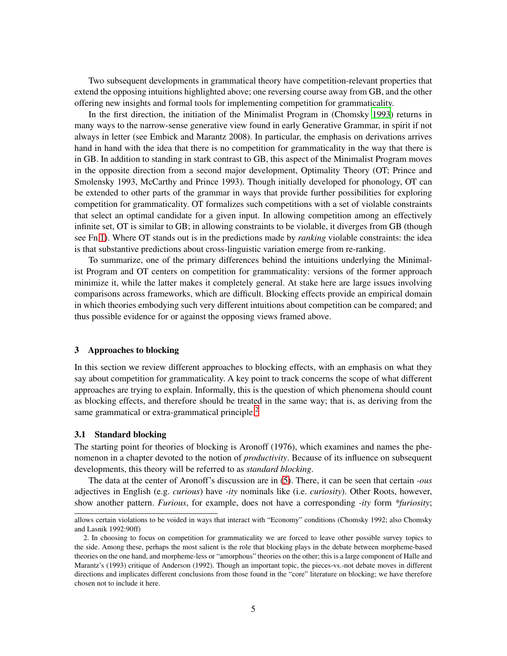Two subsequent developments in grammatical theory have competition-relevant properties that extend the opposing intuitions highlighted above; one reversing course away from GB, and the other offering new insights and formal tools for implementing competition for grammaticality.

In the first direction, the initiation of the Minimalist Program in (Chomsky [1993\)](#page-34-1) returns in many ways to the narrow-sense generative view found in early Generative Grammar, in spirit if not always in letter (see Embick and Marantz 2008). In particular, the emphasis on derivations arrives hand in hand with the idea that there is no competition for grammaticality in the way that there is in GB. In addition to standing in stark contrast to GB, this aspect of the Minimalist Program moves in the opposite direction from a second major development, Optimality Theory (OT; Prince and Smolensky 1993, McCarthy and Prince 1993). Though initially developed for phonology, OT can be extended to other parts of the grammar in ways that provide further possibilities for exploring competition for grammaticality. OT formalizes such competitions with a set of violable constraints that select an optimal candidate for a given input. In allowing competition among an effectively infinite set, OT is similar to GB; in allowing constraints to be violable, it diverges from GB (though see Fn[.1\)](#page-3-1). Where OT stands out is in the predictions made by *ranking* violable constraints: the idea is that substantive predictions about cross-linguistic variation emerge from re-ranking.

To summarize, one of the primary differences behind the intuitions underlying the Minimalist Program and OT centers on competition for grammaticality: versions of the former approach minimize it, while the latter makes it completely general. At stake here are large issues involving comparisons across frameworks, which are difficult. Blocking effects provide an empirical domain in which theories embodying such very different intuitions about competition can be compared; and thus possible evidence for or against the opposing views framed above.

## 3 Approaches to blocking

In this section we review different approaches to blocking effects, with an emphasis on what they say about competition for grammaticality. A key point to track concerns the scope of what different approaches are trying to explain. Informally, this is the question of which phenomena should count as blocking effects, and therefore should be treated in the same way; that is, as deriving from the same grammatical or extra-grammatical principle. $<sup>2</sup>$  $<sup>2</sup>$  $<sup>2</sup>$ </sup>

#### 3.1 Standard blocking

The starting point for theories of blocking is Aronoff (1976), which examines and names the phenomenon in a chapter devoted to the notion of *productivity*. Because of its influence on subsequent developments, this theory will be referred to as *standard blocking*.

The data at the center of Aronoff's discussion are in [\(5\)](#page-5-0). There, it can be seen that certain *-ous* adjectives in English (e.g. *curious*) have *-ity* nominals like (i.e. *curiosity*). Other Roots, however, show another pattern. *Furious*, for example, does not have a corresponding *-ity* form *\*furiosity*;

allows certain violations to be voided in ways that interact with "Economy" conditions (Chomsky 1992; also Chomsky and Lasnik 1992:90ff)

<span id="page-4-0"></span><sup>2.</sup> In choosing to focus on competition for grammaticality we are forced to leave other possible survey topics to the side. Among these, perhaps the most salient is the role that blocking plays in the debate between morpheme-based theories on the one hand, and morpheme-less or "amorphous" theories on the other; this is a large component of Halle and Marantz's (1993) critique of Anderson (1992). Though an important topic, the pieces-vs.-not debate moves in different directions and implicates different conclusions from those found in the "core" literature on blocking; we have therefore chosen not to include it here.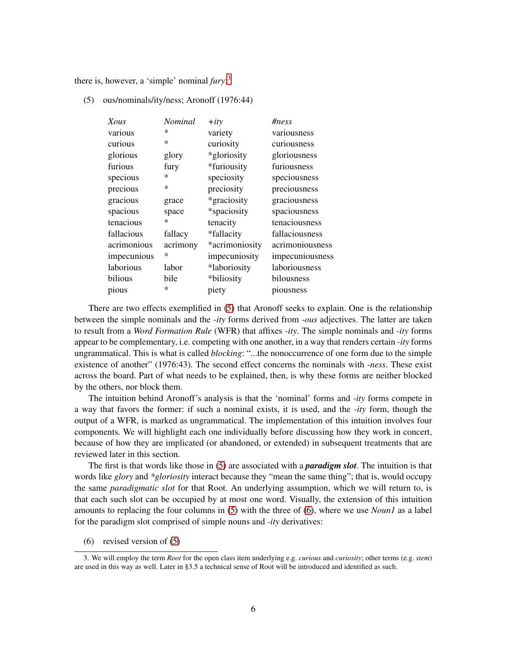<span id="page-5-0"></span>there is, however, a 'simple' nominal *fury*: [3](#page-5-1)

(5) ous/nominals/ity/ness; Aronoff (1976:44)

| Xous        | <b>Nominal</b> | $+$ <i>ity</i> | #ness           |
|-------------|----------------|----------------|-----------------|
| various     | $\ast$         | variety        | variousness     |
| curious     | $\ast$         | curiosity      | curiousness     |
| glorious    | glory          | *gloriosity    | gloriousness    |
| furious     | fury           | *furiousity    | furiousness     |
| specious    | ∗              | speciosity     | speciousness    |
| precious    | $\ast$         | preciosity     | preciousness    |
| gracious    | grace          | *graciosity    | graciousness    |
| spacious    | space          | *spaciosity    | spaciousness    |
| tenacious   | ∗              | tenacity       | tenaciousness   |
| fallacious  | fallacy        | *fallacity     | fallaciousness  |
| acrimonious | acrimony       | *acrimoniosity | acrimoniousness |
| impecunious | $\ast$         | impecuniosity  | impecuniousness |
| laborious   | labor          | *laboriosity   | laboriousness   |
| bilious     | bile           | *biliosity     | bilousness      |
| pious       | ∗              | piety          | piousness       |

There are two effects exemplified in [\(5\)](#page-5-0) that Aronoff seeks to explain. One is the relationship between the simple nominals and the *-ity* forms derived from *-ous* adjectives. The latter are taken to result from a *Word Formation Rule* (WFR) that affixes *-ity*. The simple nominals and *-ity* forms appear to be complementary, i.e. competing with one another, in a way that renders certain *-ity* forms ungrammatical. This is what is called *blocking*: "...the nonoccurrence of one form due to the simple existence of another" (1976:43). The second effect concerns the nominals with *-ness*. These exist across the board. Part of what needs to be explained, then, is why these forms are neither blocked by the others, nor block them.

The intuition behind Aronoff's analysis is that the 'nominal' forms and *-ity* forms compete in a way that favors the former: if such a nominal exists, it is used, and the *-ity* form, though the output of a WFR, is marked as ungrammatical. The implementation of this intuition involves four components. We will highlight each one individually before discussing how they work in concert, because of how they are implicated (or abandoned, or extended) in subsequent treatments that are reviewed later in this section.

The first is that words like those in [\(5\)](#page-5-0) are associated with a *paradigm slot*. The intuition is that words like *glory* and *\*gloriosity* interact because they "mean the same thing"; that is, would occupy the same *paradigmatic slot* for that Root. An underlying assumption, which we will return to, is that each such slot can be occupied by at most one word. Visually, the extension of this intuition amounts to replacing the four columns in [\(5\)](#page-5-0) with the three of [\(6\)](#page-5-2), where we use *Noun1* as a label for the paradigm slot comprised of simple nouns and *-ity* derivatives:

<span id="page-5-2"></span>(6) revised version of [\(5\)](#page-5-0)

<span id="page-5-1"></span><sup>3.</sup> We will employ the term *Root* for the open class item underlying e.g. *curious* and *curiosity*; other terms (e.g. *stem*) are used in this way as well. Later in §3.5 a technical sense of Root will be introduced and identified as such.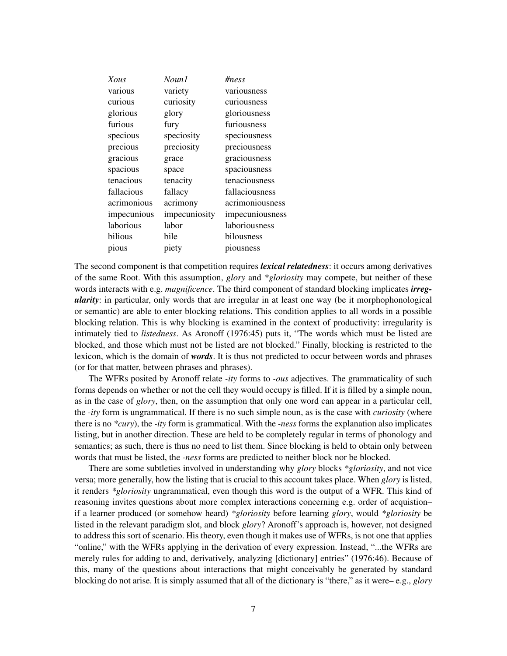| Xous        | Noun1         | #ness           |
|-------------|---------------|-----------------|
| various     | variety       | variousness     |
| curious     | curiosity     | curiousness     |
| glorious    | glory         | gloriousness    |
| furious     | fury          | furiousness     |
| specious    | speciosity    | speciousness    |
| precious    | preciosity    | preciousness    |
| gracious    | grace         | graciousness    |
| spacious    | space         | spaciousness    |
| tenacious   | tenacity      | tenaciousness   |
| fallacious  | fallacy       | fallaciousness  |
| acrimonious | acrimony      | acrimoniousness |
| impecunious | impecuniosity | impecuniousness |
| laborious   | labor         | laboriousness   |
| bilious     | bile          | bilousness      |
| pious       | piety         | piousness       |

The second component is that competition requires *lexical relatedness*: it occurs among derivatives of the same Root. With this assumption, *glory* and *\*gloriosity* may compete, but neither of these words interacts with e.g. *magnificence*. The third component of standard blocking implicates *irregularity*: in particular, only words that are irregular in at least one way (be it morphophonological or semantic) are able to enter blocking relations. This condition applies to all words in a possible blocking relation. This is why blocking is examined in the context of productivity: irregularity is intimately tied to *listedness*. As Aronoff (1976:45) puts it, "The words which must be listed are blocked, and those which must not be listed are not blocked." Finally, blocking is restricted to the lexicon, which is the domain of *words*. It is thus not predicted to occur between words and phrases (or for that matter, between phrases and phrases).

The WFRs posited by Aronoff relate *-ity* forms to *-ous* adjectives. The grammaticality of such forms depends on whether or not the cell they would occupy is filled. If it is filled by a simple noun, as in the case of *glory*, then, on the assumption that only one word can appear in a particular cell, the *-ity* form is ungrammatical. If there is no such simple noun, as is the case with *curiosity* (where there is no *\*cury*), the *-ity* form is grammatical. With the *-ness* forms the explanation also implicates listing, but in another direction. These are held to be completely regular in terms of phonology and semantics; as such, there is thus no need to list them. Since blocking is held to obtain only between words that must be listed, the *-ness* forms are predicted to neither block nor be blocked.

There are some subtleties involved in understanding why *glory* blocks *\*gloriosity*, and not vice versa; more generally, how the listing that is crucial to this account takes place. When *glory* is listed, it renders *\*gloriosity* ungrammatical, even though this word is the output of a WFR. This kind of reasoning invites questions about more complex interactions concerning e.g. order of acquistion– if a learner produced (or somehow heard) *\*gloriosity* before learning *glory*, would *\*gloriosity* be listed in the relevant paradigm slot, and block *glory*? Aronoff's approach is, however, not designed to address this sort of scenario. His theory, even though it makes use of WFRs, is not one that applies "online," with the WFRs applying in the derivation of every expression. Instead, "...the WFRs are merely rules for adding to and, derivatively, analyzing [dictionary] entries" (1976:46). Because of this, many of the questions about interactions that might conceivably be generated by standard blocking do not arise. It is simply assumed that all of the dictionary is "there," as it were– e.g., *glory*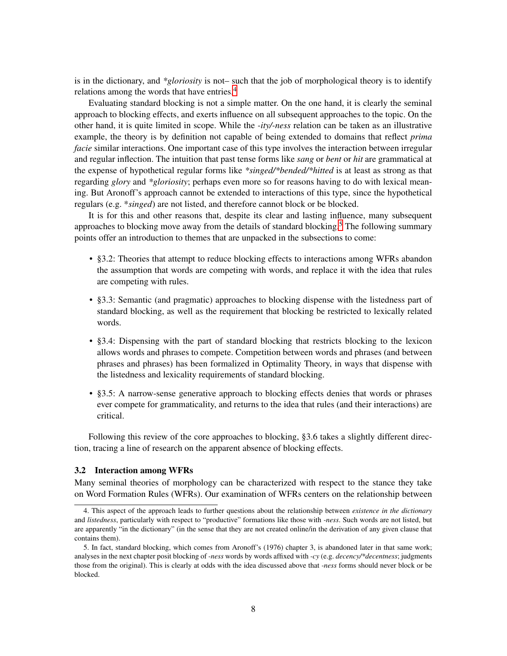is in the dictionary, and *\*gloriosity* is not– such that the job of morphological theory is to identify relations among the words that have entries.<sup>[4](#page-7-0)</sup>

Evaluating standard blocking is not a simple matter. On the one hand, it is clearly the seminal approach to blocking effects, and exerts influence on all subsequent approaches to the topic. On the other hand, it is quite limited in scope. While the *-ity/-ness* relation can be taken as an illustrative example, the theory is by definition not capable of being extended to domains that reflect *prima facie* similar interactions. One important case of this type involves the interaction between irregular and regular inflection. The intuition that past tense forms like *sang* or *bent* or *hit* are grammatical at the expense of hypothetical regular forms like *\*singed/\*bended/\*hitted* is at least as strong as that regarding *glory* and *\*gloriosity*; perhaps even more so for reasons having to do with lexical meaning. But Aronoff's approach cannot be extended to interactions of this type, since the hypothetical regulars (e.g. \**singed*) are not listed, and therefore cannot block or be blocked.

It is for this and other reasons that, despite its clear and lasting influence, many subsequent approaches to blocking move away from the details of standard blocking.<sup>[5](#page-7-1)</sup> The following summary points offer an introduction to themes that are unpacked in the subsections to come:

- §3.2: Theories that attempt to reduce blocking effects to interactions among WFRs abandon the assumption that words are competing with words, and replace it with the idea that rules are competing with rules.
- §3.3: Semantic (and pragmatic) approaches to blocking dispense with the listedness part of standard blocking, as well as the requirement that blocking be restricted to lexically related words.
- §3.4: Dispensing with the part of standard blocking that restricts blocking to the lexicon allows words and phrases to compete. Competition between words and phrases (and between phrases and phrases) has been formalized in Optimality Theory, in ways that dispense with the listedness and lexicality requirements of standard blocking.
- §3.5: A narrow-sense generative approach to blocking effects denies that words or phrases ever compete for grammaticality, and returns to the idea that rules (and their interactions) are critical.

Following this review of the core approaches to blocking, §3.6 takes a slightly different direction, tracing a line of research on the apparent absence of blocking effects.

#### 3.2 Interaction among WFRs

Many seminal theories of morphology can be characterized with respect to the stance they take on Word Formation Rules (WFRs). Our examination of WFRs centers on the relationship between

<span id="page-7-0"></span><sup>4.</sup> This aspect of the approach leads to further questions about the relationship between *existence in the dictionary* and *listedness*, particularly with respect to "productive" formations like those with *-ness*. Such words are not listed, but are apparently "in the dictionary" (in the sense that they are not created online/in the derivation of any given clause that contains them).

<span id="page-7-1"></span><sup>5.</sup> In fact, standard blocking, which comes from Aronoff's (1976) chapter 3, is abandoned later in that same work; analyses in the next chapter posit blocking of *-ness* words by words affixed with *-cy* (e.g. *decency/\*decentness*; judgments those from the original). This is clearly at odds with the idea discussed above that *-ness* forms should never block or be blocked.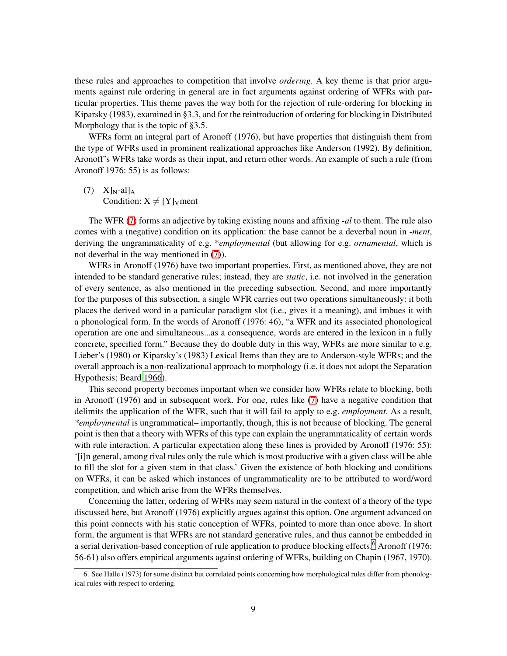these rules and approaches to competition that involve *ordering*. A key theme is that prior arguments against rule ordering in general are in fact arguments against ordering of WFRs with particular properties. This theme paves the way both for the rejection of rule-ordering for blocking in Kiparsky (1983), examined in §3.3, and for the reintroduction of ordering for blocking in Distributed Morphology that is the topic of §3.5.

WFRs form an integral part of Aronoff (1976), but have properties that distinguish them from the type of WFRs used in prominent realizational approaches like Anderson (1992). By definition, Aronoff's WFRs take words as their input, and return other words. An example of such a rule (from Aronoff 1976: 55) is as follows:

<span id="page-8-0"></span> $(7)$  X<sub>IN-al</sub><sub>IA</sub> Condition:  $X \neq [Y]_V$ ment

The WFR [\(7\)](#page-8-0) forms an adjective by taking existing nouns and affixing *-al* to them. The rule also comes with a (negative) condition on its application: the base cannot be a deverbal noun in *-ment*, deriving the ungrammaticality of e.g. \**employmental* (but allowing for e.g. *ornamental*, which is not deverbal in the way mentioned in [\(7\)](#page-8-0)).

WFRs in Aronoff (1976) have two important properties. First, as mentioned above, they are not intended to be standard generative rules; instead, they are *static*, i.e. not involved in the generation of every sentence, as also mentioned in the preceding subsection. Second, and more importantly for the purposes of this subsection, a single WFR carries out two operations simultaneously: it both places the derived word in a particular paradigm slot (i.e., gives it a meaning), and imbues it with a phonological form. In the words of Aronoff (1976: 46), "a WFR and its associated phonological operation are one and simultaneous...as a consequence, words are entered in the lexicon in a fully concrete, specified form." Because they do double duty in this way, WFRs are more similar to e.g. Lieber's (1980) or Kiparsky's (1983) Lexical Items than they are to Anderson-style WFRs; and the overall approach is a non-realizational approach to morphology (i.e. it does not adopt the Separation Hypothesis; Beard [1966](#page-34-2)).

This second property becomes important when we consider how WFRs relate to blocking, both in Aronoff (1976) and in subsequent work. For one, rules like [\(7\)](#page-8-0) have a negative condition that delimits the application of the WFR, such that it will fail to apply to e.g. *employment*. As a result, *\*employmental* is ungrammatical– importantly, though, this is not because of blocking. The general point is then that a theory with WFRs of this type can explain the ungrammaticality of certain words with rule interaction. A particular expectation along these lines is provided by Aronoff (1976: 55): '[i]n general, among rival rules only the rule which is most productive with a given class will be able to fill the slot for a given stem in that class.' Given the existence of both blocking and conditions on WFRs, it can be asked which instances of ungrammaticality are to be attributed to word/word competition, and which arise from the WFRs themselves.

Concerning the latter, ordering of WFRs may seem natural in the context of a theory of the type discussed here, but Aronoff (1976) explicitly argues against this option. One argument advanced on this point connects with his static conception of WFRs, pointed to more than once above. In short form, the argument is that WFRs are not standard generative rules, and thus cannot be embedded in a serial derivation-based conception of rule application to produce blocking effects.<sup>[6](#page-8-1)</sup> Aronoff (1976: 56-61) also offers empirical arguments against ordering of WFRs, building on Chapin (1967, 1970).

<span id="page-8-1"></span><sup>6.</sup> See Halle (1973) for some distinct but correlated points concerning how morphological rules differ from phonological rules with respect to ordering.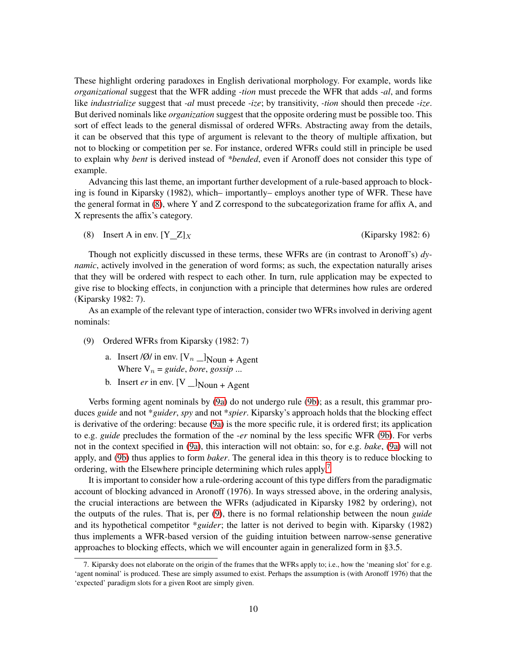These highlight ordering paradoxes in English derivational morphology. For example, words like *organizational* suggest that the WFR adding *-tion* must precede the WFR that adds *-al*, and forms like *industrialize* suggest that *-al* must precede *-ize*; by transitivity, *-tion* should then precede *-ize*. But derived nominals like *organization* suggest that the opposite ordering must be possible too. This sort of effect leads to the general dismissal of ordered WFRs. Abstracting away from the details, it can be observed that this type of argument is relevant to the theory of multiple affixation, but not to blocking or competition per se. For instance, ordered WFRs could still in principle be used to explain why *bent* is derived instead of *\*bended*, even if Aronoff does not consider this type of example.

Advancing this last theme, an important further development of a rule-based approach to blocking is found in Kiparsky (1982), which– importantly– employs another type of WFR. These have the general format in [\(8\)](#page-9-0), where Y and Z correspond to the subcategorization frame for affix A, and X represents the affix's category.

<span id="page-9-0"></span>(8) Insert A in env.  $[Y_Z]_X$  (Kiparsky 1982: 6)

Though not explicitly discussed in these terms, these WFRs are (in contrast to Aronoff's) *dynamic*, actively involved in the generation of word forms; as such, the expectation naturally arises that they will be ordered with respect to each other. In turn, rule application may be expected to give rise to blocking effects, in conjunction with a principle that determines how rules are ordered (Kiparsky 1982: 7).

As an example of the relevant type of interaction, consider two WFRs involved in deriving agent nominals:

- <span id="page-9-4"></span><span id="page-9-1"></span>(9) Ordered WFRs from Kiparsky (1982: 7)
	- a. Insert /Ø/ in env.  $[V_n \_\_\]$ Noun + Agent Where  $V_n = guide, bore, gossip$ ...
	- b. Insert *er* in env.  $[V_{\text{Noun}} + A$ gent

<span id="page-9-2"></span>Verbs forming agent nominals by [\(9a\)](#page-9-1) do not undergo rule [\(9b\)](#page-9-2); as a result, this grammar produces *guide* and not \**guider*, *spy* and not \**spier*. Kiparsky's approach holds that the blocking effect is derivative of the ordering: because [\(9a\)](#page-9-1) is the more specific rule, it is ordered first; its application to e.g. *guide* precludes the formation of the -*er* nominal by the less specific WFR [\(9b\)](#page-9-2). For verbs not in the context specified in [\(9a\)](#page-9-1), this interaction will not obtain: so, for e.g. *bake*, [\(9a\)](#page-9-1) will not apply, and [\(9b\)](#page-9-2) thus applies to form *baker*. The general idea in this theory is to reduce blocking to ordering, with the Elsewhere principle determining which rules apply.<sup>[7](#page-9-3)</sup>

It is important to consider how a rule-ordering account of this type differs from the paradigmatic account of blocking advanced in Aronoff (1976). In ways stressed above, in the ordering analysis, the crucial interactions are between the WFRs (adjudicated in Kiparsky 1982 by ordering), not the outputs of the rules. That is, per [\(9\)](#page-9-4), there is no formal relationship between the noun *guide* and its hypothetical competitor \**guider*; the latter is not derived to begin with. Kiparsky (1982) thus implements a WFR-based version of the guiding intuition between narrow-sense generative approaches to blocking effects, which we will encounter again in generalized form in §3.5.

<span id="page-9-3"></span><sup>7.</sup> Kiparsky does not elaborate on the origin of the frames that the WFRs apply to; i.e., how the 'meaning slot' for e.g. 'agent nominal' is produced. These are simply assumed to exist. Perhaps the assumption is (with Aronoff 1976) that the 'expected' paradigm slots for a given Root are simply given.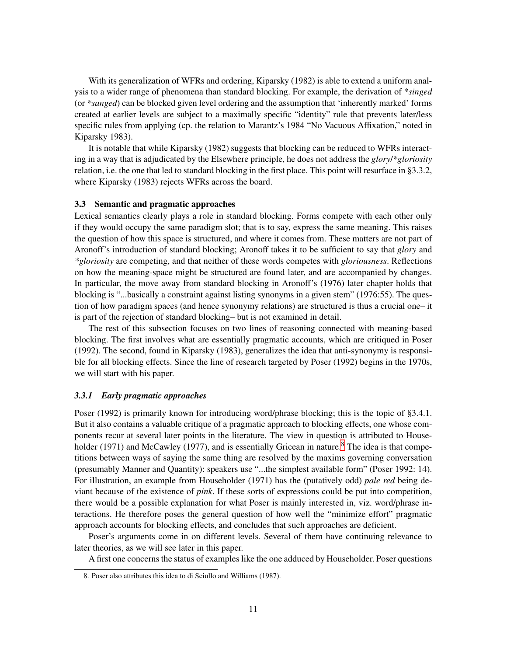With its generalization of WFRs and ordering, Kiparsky (1982) is able to extend a uniform analysis to a wider range of phenomena than standard blocking. For example, the derivation of \**singed* (or *\*sanged*) can be blocked given level ordering and the assumption that 'inherently marked' forms created at earlier levels are subject to a maximally specific "identity" rule that prevents later/less specific rules from applying (cp. the relation to Marantz's 1984 "No Vacuous Affixation," noted in Kiparsky 1983).

It is notable that while Kiparsky (1982) suggests that blocking can be reduced to WFRs interacting in a way that is adjudicated by the Elsewhere principle, he does not address the *glory*/*\*gloriosity* relation, i.e. the one that led to standard blocking in the first place. This point will resurface in §3.3.2, where Kiparsky (1983) rejects WFRs across the board.

## 3.3 Semantic and pragmatic approaches

Lexical semantics clearly plays a role in standard blocking. Forms compete with each other only if they would occupy the same paradigm slot; that is to say, express the same meaning. This raises the question of how this space is structured, and where it comes from. These matters are not part of Aronoff's introduction of standard blocking; Aronoff takes it to be sufficient to say that *glory* and *\*gloriosity* are competing, and that neither of these words competes with *gloriousness*. Reflections on how the meaning-space might be structured are found later, and are accompanied by changes. In particular, the move away from standard blocking in Aronoff's (1976) later chapter holds that blocking is "...basically a constraint against listing synonyms in a given stem" (1976:55). The question of how paradigm spaces (and hence synonymy relations) are structured is thus a crucial one– it is part of the rejection of standard blocking– but is not examined in detail.

The rest of this subsection focuses on two lines of reasoning connected with meaning-based blocking. The first involves what are essentially pragmatic accounts, which are critiqued in Poser (1992). The second, found in Kiparsky (1983), generalizes the idea that anti-synonymy is responsible for all blocking effects. Since the line of research targeted by Poser (1992) begins in the 1970s, we will start with his paper.

## *3.3.1 Early pragmatic approaches*

Poser (1992) is primarily known for introducing word/phrase blocking; this is the topic of §3.4.1. But it also contains a valuable critique of a pragmatic approach to blocking effects, one whose components recur at several later points in the literature. The view in question is attributed to House-holder (1971) and McCawley (1977), and is essentially Gricean in nature.<sup>[8](#page-10-0)</sup> The idea is that competitions between ways of saying the same thing are resolved by the maxims governing conversation (presumably Manner and Quantity): speakers use "...the simplest available form" (Poser 1992: 14). For illustration, an example from Householder (1971) has the (putatively odd) *pale red* being deviant because of the existence of *pink*. If these sorts of expressions could be put into competition, there would be a possible explanation for what Poser is mainly interested in, viz. word/phrase interactions. He therefore poses the general question of how well the "minimize effort" pragmatic approach accounts for blocking effects, and concludes that such approaches are deficient.

Poser's arguments come in on different levels. Several of them have continuing relevance to later theories, as we will see later in this paper.

A first one concerns the status of examples like the one adduced by Householder. Poser questions

<span id="page-10-0"></span><sup>8.</sup> Poser also attributes this idea to di Sciullo and Williams (1987).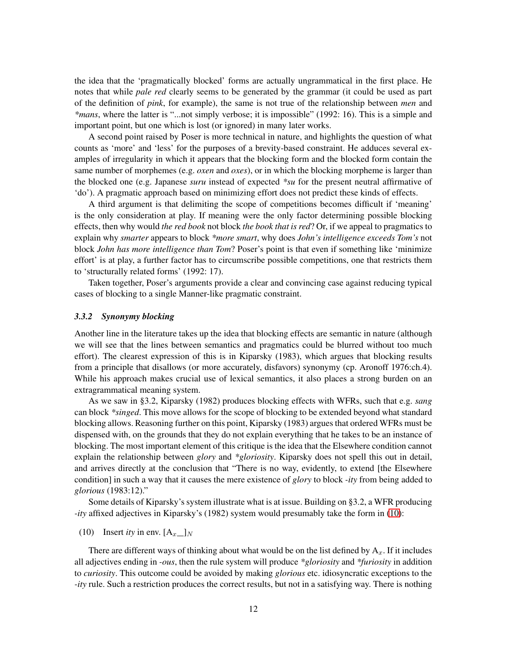the idea that the 'pragmatically blocked' forms are actually ungrammatical in the first place. He notes that while *pale red* clearly seems to be generated by the grammar (it could be used as part of the definition of *pink*, for example), the same is not true of the relationship between *men* and *\*mans*, where the latter is "...not simply verbose; it is impossible" (1992: 16). This is a simple and important point, but one which is lost (or ignored) in many later works.

A second point raised by Poser is more technical in nature, and highlights the question of what counts as 'more' and 'less' for the purposes of a brevity-based constraint. He adduces several examples of irregularity in which it appears that the blocking form and the blocked form contain the same number of morphemes (e.g. *oxen* and *oxes*), or in which the blocking morpheme is larger than the blocked one (e.g. Japanese *suru* instead of expected *\*su* for the present neutral affirmative of 'do'). A pragmatic approach based on minimizing effort does not predict these kinds of effects.

A third argument is that delimiting the scope of competitions becomes difficult if 'meaning' is the only consideration at play. If meaning were the only factor determining possible blocking effects, then why would *the red book* not block *the book that is red*? Or, if we appeal to pragmatics to explain why *smarter* appears to block *\*more smart*, why does *John's intelligence exceeds Tom's* not block *John has more intelligence than Tom*? Poser's point is that even if something like 'minimize effort' is at play, a further factor has to circumscribe possible competitions, one that restricts them to 'structurally related forms' (1992: 17).

Taken together, Poser's arguments provide a clear and convincing case against reducing typical cases of blocking to a single Manner-like pragmatic constraint.

## *3.3.2 Synonymy blocking*

Another line in the literature takes up the idea that blocking effects are semantic in nature (although we will see that the lines between semantics and pragmatics could be blurred without too much effort). The clearest expression of this is in Kiparsky (1983), which argues that blocking results from a principle that disallows (or more accurately, disfavors) synonymy (cp. Aronoff 1976:ch.4). While his approach makes crucial use of lexical semantics, it also places a strong burden on an extragrammatical meaning system.

As we saw in §3.2, Kiparsky (1982) produces blocking effects with WFRs, such that e.g. *sang* can block *\*singed*. This move allows for the scope of blocking to be extended beyond what standard blocking allows. Reasoning further on this point, Kiparsky (1983) argues that ordered WFRs must be dispensed with, on the grounds that they do not explain everything that he takes to be an instance of blocking. The most important element of this critique is the idea that the Elsewhere condition cannot explain the relationship between *glory* and *\*gloriosity*. Kiparsky does not spell this out in detail, and arrives directly at the conclusion that "There is no way, evidently, to extend [the Elsewhere condition] in such a way that it causes the mere existence of *glory* to block *-ity* from being added to *glorious* (1983:12)."

Some details of Kiparsky's system illustrate what is at issue. Building on §3.2, a WFR producing *-ity* affixed adjectives in Kiparsky's (1982) system would presumably take the form in [\(10\)](#page-11-0):

<span id="page-11-0"></span>(10) Insert *ity* in env.  $[A_x]_N$ 

There are different ways of thinking about what would be on the list defined by  $A_x$ . If it includes all adjectives ending in *-ous*, then the rule system will produce *\*gloriosity* and *\*furiosity* in addition to *curiosity*. This outcome could be avoided by making *glorious* etc. idiosyncratic exceptions to the *-ity* rule. Such a restriction produces the correct results, but not in a satisfying way. There is nothing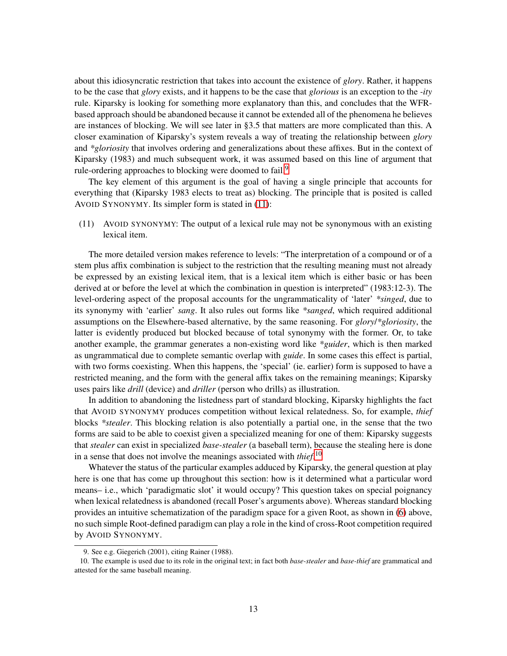about this idiosyncratic restriction that takes into account the existence of *glory*. Rather, it happens to be the case that *glory* exists, and it happens to be the case that *glorious* is an exception to the *-ity* rule. Kiparsky is looking for something more explanatory than this, and concludes that the WFRbased approach should be abandoned because it cannot be extended all of the phenomena he believes are instances of blocking. We will see later in §3.5 that matters are more complicated than this. A closer examination of Kiparsky's system reveals a way of treating the relationship between *glory* and *\*gloriosity* that involves ordering and generalizations about these affixes. But in the context of Kiparsky (1983) and much subsequent work, it was assumed based on this line of argument that rule-ordering approaches to blocking were doomed to fail.<sup>[9](#page-12-0)</sup>

The key element of this argument is the goal of having a single principle that accounts for everything that (Kiparsky 1983 elects to treat as) blocking. The principle that is posited is called AVOID SYNONYMY. Its simpler form is stated in [\(11\)](#page-12-1):

<span id="page-12-1"></span>(11) AVOID SYNONYMY: The output of a lexical rule may not be synonymous with an existing lexical item.

The more detailed version makes reference to levels: "The interpretation of a compound or of a stem plus affix combination is subject to the restriction that the resulting meaning must not already be expressed by an existing lexical item, that is a lexical item which is either basic or has been derived at or before the level at which the combination in question is interpreted" (1983:12-3). The level-ordering aspect of the proposal accounts for the ungrammaticality of 'later' *\*singed*, due to its synonymy with 'earlier' *sang*. It also rules out forms like *\*sanged*, which required additional assumptions on the Elsewhere-based alternative, by the same reasoning. For *glory*/*\*gloriosity*, the latter is evidently produced but blocked because of total synonymy with the former. Or, to take another example, the grammar generates a non-existing word like *\*guider*, which is then marked as ungrammatical due to complete semantic overlap with *guide*. In some cases this effect is partial, with two forms coexisting. When this happens, the 'special' (ie. earlier) form is supposed to have a restricted meaning, and the form with the general affix takes on the remaining meanings; Kiparsky uses pairs like *drill* (device) and *driller* (person who drills) as illustration.

In addition to abandoning the listedness part of standard blocking, Kiparsky highlights the fact that AVOID SYNONYMY produces competition without lexical relatedness. So, for example, *thief* blocks *\*stealer*. This blocking relation is also potentially a partial one, in the sense that the two forms are said to be able to coexist given a specialized meaning for one of them: Kiparsky suggests that *stealer* can exist in specialized *base-stealer* (a baseball term), because the stealing here is done in a sense that does not involve the meanings associated with *thief*. [10](#page-12-2)

Whatever the status of the particular examples adduced by Kiparsky, the general question at play here is one that has come up throughout this section: how is it determined what a particular word means– i.e., which 'paradigmatic slot' it would occupy? This question takes on special poignancy when lexical relatedness is abandoned (recall Poser's arguments above). Whereas standard blocking provides an intuitive schematization of the paradigm space for a given Root, as shown in [\(6\)](#page-5-2) above, no such simple Root-defined paradigm can play a role in the kind of cross-Root competition required by AVOID SYNONYMY.

<span id="page-12-0"></span><sup>9.</sup> See e.g. Giegerich (2001), citing Rainer (1988).

<span id="page-12-2"></span><sup>10.</sup> The example is used due to its role in the original text; in fact both *base-stealer* and *base-thief* are grammatical and attested for the same baseball meaning.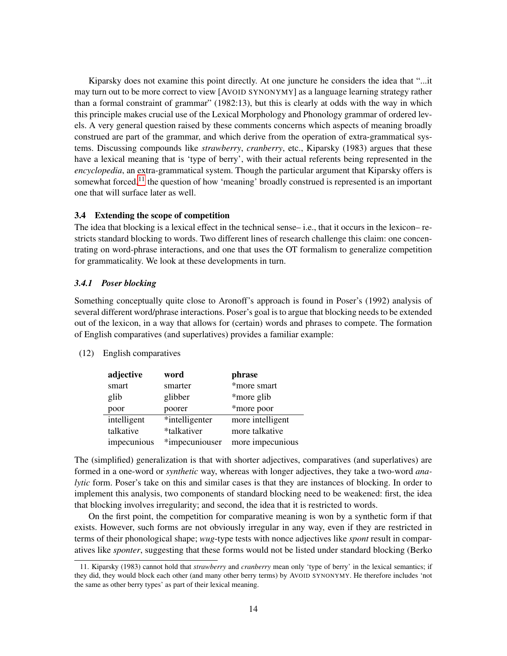Kiparsky does not examine this point directly. At one juncture he considers the idea that "...it may turn out to be more correct to view [AVOID SYNONYMY] as a language learning strategy rather than a formal constraint of grammar" (1982:13), but this is clearly at odds with the way in which this principle makes crucial use of the Lexical Morphology and Phonology grammar of ordered levels. A very general question raised by these comments concerns which aspects of meaning broadly construed are part of the grammar, and which derive from the operation of extra-grammatical systems. Discussing compounds like *strawberry*, *cranberry*, etc., Kiparsky (1983) argues that these have a lexical meaning that is 'type of berry', with their actual referents being represented in the *encyclopedia*, an extra-grammatical system. Though the particular argument that Kiparsky offers is somewhat forced,<sup>[11](#page-13-0)</sup> the question of how 'meaning' broadly construed is represented is an important one that will surface later as well.

## 3.4 Extending the scope of competition

The idea that blocking is a lexical effect in the technical sense– i.e., that it occurs in the lexicon– restricts standard blocking to words. Two different lines of research challenge this claim: one concentrating on word-phrase interactions, and one that uses the OT formalism to generalize competition for grammaticality. We look at these developments in turn.

## *3.4.1 Poser blocking*

Something conceptually quite close to Aronoff's approach is found in Poser's (1992) analysis of several different word/phrase interactions. Poser's goal is to argue that blocking needs to be extended out of the lexicon, in a way that allows for (certain) words and phrases to compete. The formation of English comparatives (and superlatives) provides a familiar example:

## (12) English comparatives

| adjective   | word           | phrase           |
|-------------|----------------|------------------|
| smart       | smarter        | *more smart      |
| glib        | glibber        | *more glib       |
| poor        | poorer         | *more poor       |
| intelligent | *intelligenter | more intelligent |
| talkative   | *talkativer    | more talkative   |
| impecunious | *impecuniouser | more impecunious |

The (simplified) generalization is that with shorter adjectives, comparatives (and superlatives) are formed in a one-word or *synthetic* way, whereas with longer adjectives, they take a two-word *analytic* form. Poser's take on this and similar cases is that they are instances of blocking. In order to implement this analysis, two components of standard blocking need to be weakened: first, the idea that blocking involves irregularity; and second, the idea that it is restricted to words.

On the first point, the competition for comparative meaning is won by a synthetic form if that exists. However, such forms are not obviously irregular in any way, even if they are restricted in terms of their phonological shape; *wug*-type tests with nonce adjectives like *spont* result in comparatives like *sponter*, suggesting that these forms would not be listed under standard blocking (Berko

<span id="page-13-0"></span><sup>11.</sup> Kiparsky (1983) cannot hold that *strawberry* and *cranberry* mean only 'type of berry' in the lexical semantics; if they did, they would block each other (and many other berry terms) by AVOID SYNONYMY. He therefore includes 'not the same as other berry types' as part of their lexical meaning.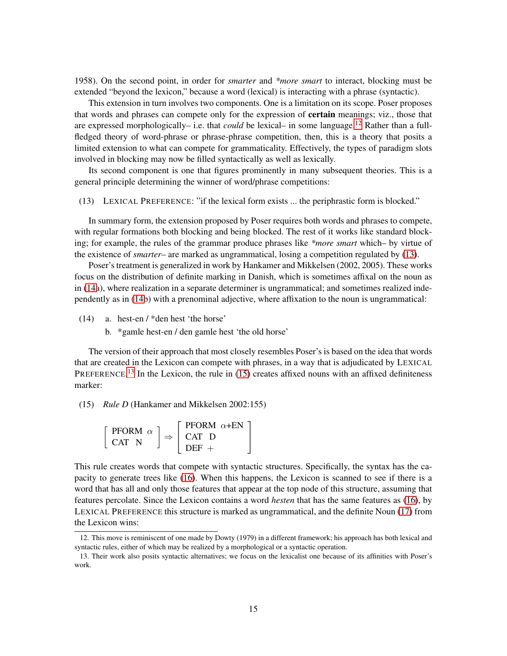1958). On the second point, in order for *smarter* and *\*more smart* to interact, blocking must be extended "beyond the lexicon," because a word (lexical) is interacting with a phrase (syntactic).

This extension in turn involves two components. One is a limitation on its scope. Poser proposes that words and phrases can compete only for the expression of **certain** meanings; viz., those that are expressed morphologically– i.e. that *could* be lexical– in some language.<sup>[12](#page-14-0)</sup> Rather than a fullfledged theory of word-phrase or phrase-phrase competition, then, this is a theory that posits a limited extension to what can compete for grammaticality. Effectively, the types of paradigm slots involved in blocking may now be filled syntactically as well as lexically.

Its second component is one that figures prominently in many subsequent theories. This is a general principle determining the winner of word/phrase competitions:

<span id="page-14-1"></span>(13) LEXICAL PREFERENCE: "if the lexical form exists ... the periphrastic form is blocked."

In summary form, the extension proposed by Poser requires both words and phrases to compete, with regular formations both blocking and being blocked. The rest of it works like standard blocking; for example, the rules of the grammar produce phrases like *\*more smart* which– by virtue of the existence of *smarter*– are marked as ungrammatical, losing a competition regulated by [\(13\)](#page-14-1).

Poser's treatment is generalized in work by Hankamer and Mikkelsen (2002, 2005). These works focus on the distribution of definite marking in Danish, which is sometimes affixal on the noun as in [\(14a](#page-14-2)), where realization in a separate determiner is ungrammatical; and sometimes realized independently as in [\(14b](#page-14-2)) with a prenominal adjective, where affixation to the noun is ungrammatical:

<span id="page-14-2"></span>(14) a. hest-en / \*den hest 'the horse'

b. \*gamle hest-en / den gamle hest 'the old horse'

The version of their approach that most closely resembles Poser's is based on the idea that words that are created in the Lexicon can compete with phrases, in a way that is adjudicated by LEXICAL PREFERENCE.<sup>[13](#page-14-3)</sup> In the Lexicon, the rule in [\(15\)](#page-14-4) creates affixed nouns with an affixed definiteness marker:

<span id="page-14-4"></span>(15) *Rule D* (Hankamer and Mikkelsen 2002:155)

$$
\left[ \begin{array}{cc} \text{PFORM} \ \alpha \\ \text{CAT} \ \mathbf{N} \end{array} \right] \Rightarrow \left[ \begin{array}{cc} \text{PFORM} \ \alpha + \text{EN} \\ \text{CAT} \ \mathbf{D} \\ \text{DEF} \ + \end{array} \right]
$$

This rule creates words that compete with syntactic structures. Specifically, the syntax has the capacity to generate trees like [\(16\)](#page-15-0). When this happens, the Lexicon is scanned to see if there is a word that has all and only those features that appear at the top node of this structure, assuming that features percolate. Since the Lexicon contains a word *hesten* that has the same features as [\(16\)](#page-15-0), by LEXICAL PREFERENCE this structure is marked as ungrammatical, and the definite Noun [\(17\)](#page-15-1) from the Lexicon wins:

<span id="page-14-0"></span><sup>12.</sup> This move is reminiscent of one made by Dowty (1979) in a different framework; his approach has both lexical and syntactic rules, either of which may be realized by a morphological or a syntactic operation.

<span id="page-14-3"></span><sup>13.</sup> Their work also posits syntactic alternatives; we focus on the lexicalist one because of its affinities with Poser's work.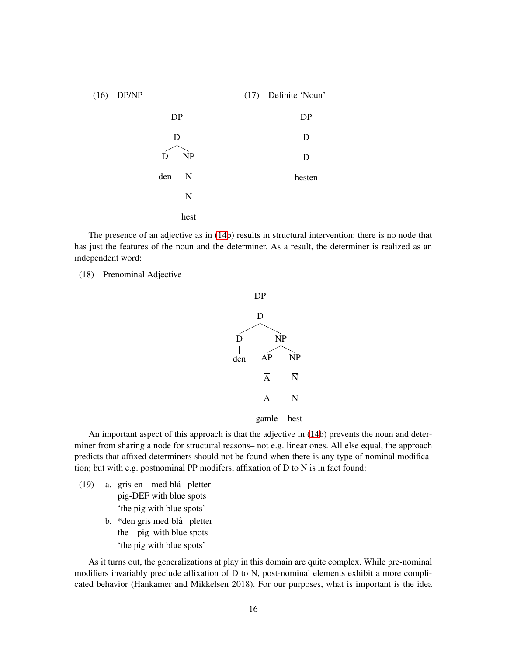<span id="page-15-1"></span><span id="page-15-0"></span>

The presence of an adjective as in [\(14b](#page-14-2)) results in structural intervention: there is no node that has just the features of the noun and the determiner. As a result, the determiner is realized as an independent word:

(18) Prenominal Adjective



An important aspect of this approach is that the adjective in [\(14b](#page-14-2)) prevents the noun and determiner from sharing a node for structural reasons– not e.g. linear ones. All else equal, the approach predicts that affixed determiners should not be found when there is any type of nominal modification; but with e.g. postnominal PP modifers, affixation of D to N is in fact found:

- (19) a. gris-en med blå pletter pig-DEF with blue spots 'the pig with blue spots'
	- b. \*den gris med blå pletter the pig with blue spots 'the pig with blue spots'

As it turns out, the generalizations at play in this domain are quite complex. While pre-nominal modifiers invariably preclude affixation of D to N, post-nominal elements exhibit a more complicated behavior (Hankamer and Mikkelsen 2018). For our purposes, what is important is the idea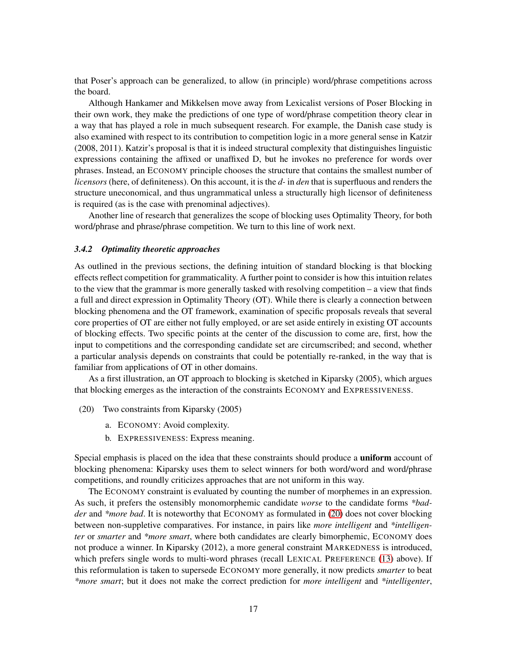that Poser's approach can be generalized, to allow (in principle) word/phrase competitions across the board.

Although Hankamer and Mikkelsen move away from Lexicalist versions of Poser Blocking in their own work, they make the predictions of one type of word/phrase competition theory clear in a way that has played a role in much subsequent research. For example, the Danish case study is also examined with respect to its contribution to competition logic in a more general sense in Katzir (2008, 2011). Katzir's proposal is that it is indeed structural complexity that distinguishes linguistic expressions containing the affixed or unaffixed D, but he invokes no preference for words over phrases. Instead, an ECONOMY principle chooses the structure that contains the smallest number of *licensors* (here, of definiteness). On this account, it is the *d-* in *den* that is superfluous and renders the structure uneconomical, and thus ungrammatical unless a structurally high licensor of definiteness is required (as is the case with prenominal adjectives).

Another line of research that generalizes the scope of blocking uses Optimality Theory, for both word/phrase and phrase/phrase competition. We turn to this line of work next.

#### *3.4.2 Optimality theoretic approaches*

As outlined in the previous sections, the defining intuition of standard blocking is that blocking effects reflect competition for grammaticality. A further point to consider is how this intuition relates to the view that the grammar is more generally tasked with resolving competition – a view that finds a full and direct expression in Optimality Theory (OT). While there is clearly a connection between blocking phenomena and the OT framework, examination of specific proposals reveals that several core properties of OT are either not fully employed, or are set aside entirely in existing OT accounts of blocking effects. Two specific points at the center of the discussion to come are, first, how the input to competitions and the corresponding candidate set are circumscribed; and second, whether a particular analysis depends on constraints that could be potentially re-ranked, in the way that is familiar from applications of OT in other domains.

As a first illustration, an OT approach to blocking is sketched in Kiparsky (2005), which argues that blocking emerges as the interaction of the constraints ECONOMY and EXPRESSIVENESS.

- <span id="page-16-0"></span>(20) Two constraints from Kiparsky (2005)
	- a. ECONOMY: Avoid complexity.
	- b. EXPRESSIVENESS: Express meaning.

Special emphasis is placed on the idea that these constraints should produce a **uniform** account of blocking phenomena: Kiparsky uses them to select winners for both word/word and word/phrase competitions, and roundly criticizes approaches that are not uniform in this way.

The ECONOMY constraint is evaluated by counting the number of morphemes in an expression. As such, it prefers the ostensibly monomorphemic candidate *worse* to the candidate forms *\*badder* and *\*more bad*. It is noteworthy that ECONOMY as formulated in [\(20\)](#page-16-0) does not cover blocking between non-suppletive comparatives. For instance, in pairs like *more intelligent* and *\*intelligenter* or *smarter* and *\*more smart*, where both candidates are clearly bimorphemic, ECONOMY does not produce a winner. In Kiparsky (2012), a more general constraint MARKEDNESS is introduced, which prefers single words to multi-word phrases (recall LEXICAL PREFERENCE [\(13\)](#page-14-1) above). If this reformulation is taken to supersede ECONOMY more generally, it now predicts *smarter* to beat *\*more smart*; but it does not make the correct prediction for *more intelligent* and *\*intelligenter*,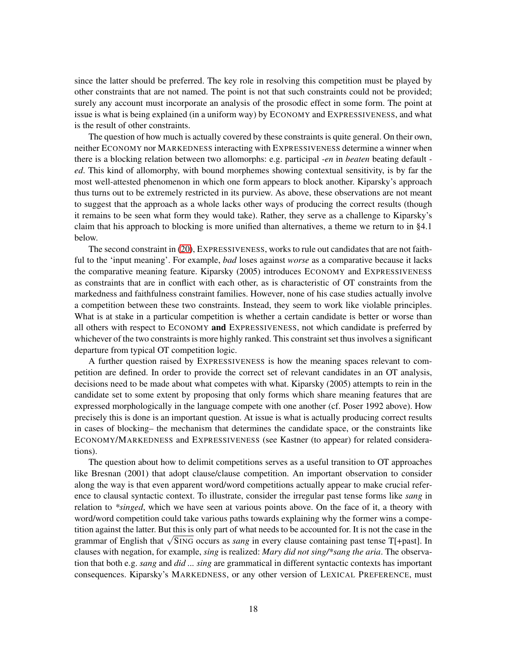since the latter should be preferred. The key role in resolving this competition must be played by other constraints that are not named. The point is not that such constraints could not be provided; surely any account must incorporate an analysis of the prosodic effect in some form. The point at issue is what is being explained (in a uniform way) by ECONOMY and EXPRESSIVENESS, and what is the result of other constraints.

The question of how much is actually covered by these constraints is quite general. On their own, neither ECONOMY nor MARKEDNESS interacting with EXPRESSIVENESS determine a winner when there is a blocking relation between two allomorphs: e.g. participal *-en* in *beaten* beating default  *ed*. This kind of allomorphy, with bound morphemes showing contextual sensitivity, is by far the most well-attested phenomenon in which one form appears to block another. Kiparsky's approach thus turns out to be extremely restricted in its purview. As above, these observations are not meant to suggest that the approach as a whole lacks other ways of producing the correct results (though it remains to be seen what form they would take). Rather, they serve as a challenge to Kiparsky's claim that his approach to blocking is more unified than alternatives, a theme we return to in §4.1 below.

The second constraint in [\(20\)](#page-16-0), EXPRESSIVENESS, works to rule out candidates that are not faithful to the 'input meaning'. For example, *bad* loses against *worse* as a comparative because it lacks the comparative meaning feature. Kiparsky (2005) introduces ECONOMY and EXPRESSIVENESS as constraints that are in conflict with each other, as is characteristic of OT constraints from the markedness and faithfulness constraint families. However, none of his case studies actually involve a competition between these two constraints. Instead, they seem to work like violable principles. What is at stake in a particular competition is whether a certain candidate is better or worse than all others with respect to ECONOMY and EXPRESSIVENESS, not which candidate is preferred by whichever of the two constraints is more highly ranked. This constraint set thus involves a significant departure from typical OT competition logic.

A further question raised by EXPRESSIVENESS is how the meaning spaces relevant to competition are defined. In order to provide the correct set of relevant candidates in an OT analysis, decisions need to be made about what competes with what. Kiparsky (2005) attempts to rein in the candidate set to some extent by proposing that only forms which share meaning features that are expressed morphologically in the language compete with one another (cf. Poser 1992 above). How precisely this is done is an important question. At issue is what is actually producing correct results in cases of blocking– the mechanism that determines the candidate space, or the constraints like ECONOMY/MARKEDNESS and EXPRESSIVENESS (see Kastner (to appear) for related considerations).

The question about how to delimit competitions serves as a useful transition to OT approaches like Bresnan (2001) that adopt clause/clause competition. An important observation to consider along the way is that even apparent word/word competitions actually appear to make crucial reference to clausal syntactic context. To illustrate, consider the irregular past tense forms like *sang* in relation to *\*singed*, which we have seen at various points above. On the face of it, a theory with word/word competition could take various paths towards explaining why the former wins a competition against the latter. But this is only part of what needs to be accounted for. It is not the case in the grammar of English that <sup>√</sup> SING occurs as *sang* in every clause containing past tense T[+past]. In clauses with negation, for example, *sing* is realized: *Mary did not sing/\*sang the aria*. The observation that both e.g. *sang* and *did ... sing* are grammatical in different syntactic contexts has important consequences. Kiparsky's MARKEDNESS, or any other version of LEXICAL PREFERENCE, must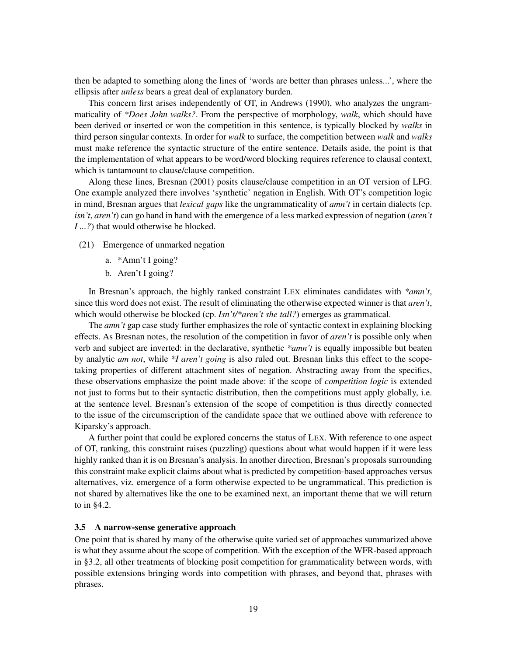then be adapted to something along the lines of 'words are better than phrases unless...', where the ellipsis after *unless* bears a great deal of explanatory burden.

This concern first arises independently of OT, in Andrews (1990), who analyzes the ungrammaticality of *\*Does John walks?*. From the perspective of morphology, *walk*, which should have been derived or inserted or won the competition in this sentence, is typically blocked by *walks* in third person singular contexts. In order for *walk* to surface, the competition between *walk* and *walks* must make reference the syntactic structure of the entire sentence. Details aside, the point is that the implementation of what appears to be word/word blocking requires reference to clausal context, which is tantamount to clause/clause competition.

Along these lines, Bresnan (2001) posits clause/clause competition in an OT version of LFG. One example analyzed there involves 'synthetic' negation in English. With OT's competition logic in mind, Bresnan argues that *lexical gaps* like the ungrammaticality of *amn't* in certain dialects (cp. *isn't*, *aren't*) can go hand in hand with the emergence of a less marked expression of negation (*aren't I* ...?) that would otherwise be blocked.

- (21) Emergence of unmarked negation
	- a. \*Amn't I going?
	- b. Aren't I going?

In Bresnan's approach, the highly ranked constraint LEX eliminates candidates with *\*amn't*, since this word does not exist. The result of eliminating the otherwise expected winner is that *aren't*, which would otherwise be blocked (cp. *Isn't/\*aren't she tall?*) emerges as grammatical.

The *amn't* gap case study further emphasizes the role of syntactic context in explaining blocking effects. As Bresnan notes, the resolution of the competition in favor of *aren't* is possible only when verb and subject are inverted: in the declarative, synthetic *\*amn't* is equally impossible but beaten by analytic *am not*, while *\*I aren't going* is also ruled out. Bresnan links this effect to the scopetaking properties of different attachment sites of negation. Abstracting away from the specifics, these observations emphasize the point made above: if the scope of *competition logic* is extended not just to forms but to their syntactic distribution, then the competitions must apply globally, i.e. at the sentence level. Bresnan's extension of the scope of competition is thus directly connected to the issue of the circumscription of the candidate space that we outlined above with reference to Kiparsky's approach.

A further point that could be explored concerns the status of LEX. With reference to one aspect of OT, ranking, this constraint raises (puzzling) questions about what would happen if it were less highly ranked than it is on Bresnan's analysis. In another direction, Bresnan's proposals surrounding this constraint make explicit claims about what is predicted by competition-based approaches versus alternatives, viz. emergence of a form otherwise expected to be ungrammatical. This prediction is not shared by alternatives like the one to be examined next, an important theme that we will return to in §4.2.

## 3.5 A narrow-sense generative approach

One point that is shared by many of the otherwise quite varied set of approaches summarized above is what they assume about the scope of competition. With the exception of the WFR-based approach in §3.2, all other treatments of blocking posit competition for grammaticality between words, with possible extensions bringing words into competition with phrases, and beyond that, phrases with phrases.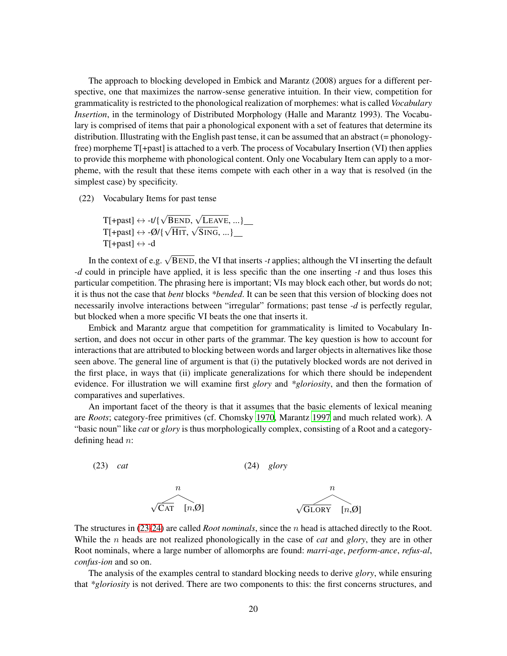The approach to blocking developed in Embick and Marantz (2008) argues for a different perspective, one that maximizes the narrow-sense generative intuition. In their view, competition for grammaticality is restricted to the phonological realization of morphemes: what is called *Vocabulary Insertion*, in the terminology of Distributed Morphology (Halle and Marantz 1993). The Vocabulary is comprised of items that pair a phonological exponent with a set of features that determine its distribution. Illustrating with the English past tense, it can be assumed that an abstract (= phonologyfree) morpheme T[+past] is attached to a verb. The process of Vocabulary Insertion (VI) then applies to provide this morpheme with phonological content. Only one Vocabulary Item can apply to a morpheme, with the result that these items compete with each other in a way that is resolved (in the simplest case) by specificity.

<span id="page-19-2"></span>(22) Vocabulary Items for past tense

$$
T[+past] \leftrightarrow -t/\{\sqrt{BEND}, \sqrt{LEAVE}, ... \}
$$
  
T[+past]  $\leftrightarrow -\emptyset/\{\sqrt{HIT}, \sqrt{SING}, ... \}$   
T[+past]  $\leftrightarrow -d$ 

In the context of e.g. <sup>√</sup> BEND, the VI that inserts *-t* applies; although the VI inserting the default *-d* could in principle have applied, it is less specific than the one inserting *-t* and thus loses this particular competition. The phrasing here is important; VIs may block each other, but words do not; it is thus not the case that *bent* blocks *\*bended*. It can be seen that this version of blocking does not necessarily involve interactions between "irregular" formations; past tense *-d* is perfectly regular, but blocked when a more specific VI beats the one that inserts it.

Embick and Marantz argue that competition for grammaticality is limited to Vocabulary Insertion, and does not occur in other parts of the grammar. The key question is how to account for interactions that are attributed to blocking between words and larger objects in alternatives like those seen above. The general line of argument is that (i) the putatively blocked words are not derived in the first place, in ways that (ii) implicate generalizations for which there should be independent evidence. For illustration we will examine first *glory* and *\*gloriosity*, and then the formation of comparatives and superlatives.

An important facet of the theory is that it assumes that the basic elements of lexical meaning are *Roots*; category-free primitives (cf. Chomsky [1970](#page-34-3), Marantz [1997](#page-37-0) and much related work). A "basic noun" like *cat* or *glory* is thus morphologically complex, consisting of a Root and a categorydefining head  $n$ :

<span id="page-19-1"></span><span id="page-19-0"></span>

The structures in [\(23-](#page-19-0)[24\)](#page-19-1) are called *Root nominals*, since the n head is attached directly to the Root. While the n heads are not realized phonologically in the case of *cat* and *glory*, they are in other Root nominals, where a large number of allomorphs are found: *marri-age*, *perform-ance*, *refus-al*, *confus-ion* and so on.

The analysis of the examples central to standard blocking needs to derive *glory*, while ensuring that *\*gloriosity* is not derived. There are two components to this: the first concerns structures, and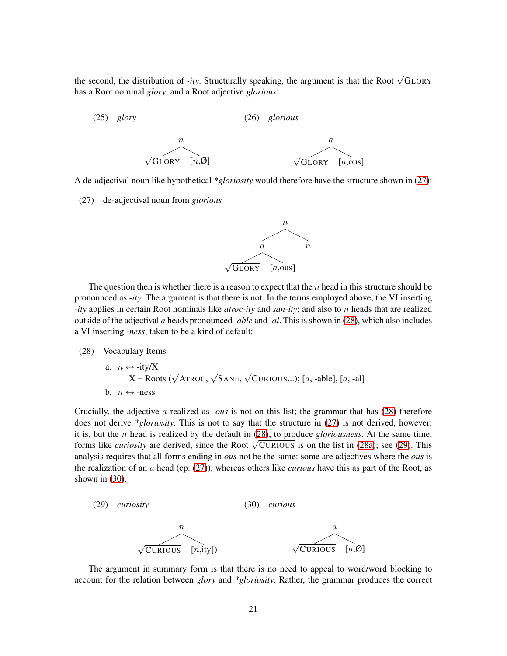the second, the distribution of *-ity*. Structurally speaking, the argument is that the Root  $\sqrt{GLORY}$ has a Root nominal *glory*, and a Root adjective *glorious*:

(25) *glory* (26) *glorious*



<span id="page-20-0"></span>A de-adjectival noun like hypothetical *\*gloriosity* would therefore have the structure shown in [\(27\)](#page-20-0):

(27) de-adjectival noun from *glorious*



The question then is whether there is a reason to expect that the  $n$  head in this structure should be pronounced as *-ity*. The argument is that there is not. In the terms employed above, the VI inserting *-ity* applies in certain Root nominals like *atroc-ity* and *san-ity*; and also to n heads that are realized outside of the adjectival a heads pronounced *-able* and *-al*. This is shown in [\(28\)](#page-20-1), which also includes a VI inserting *-ness*, taken to be a kind of default:

<span id="page-20-2"></span><span id="page-20-1"></span>(28) Vocabulary Items

a. 
$$
n \leftrightarrow -ity/X
$$
  
\n $X = \text{Roots } (\sqrt{\text{ATROC}}, \sqrt{\text{SANE}}, \sqrt{\text{CURIOUS}}...); [a, -able], [a, -al]$   
\nb.  $n \leftrightarrow -ness$ 

Crucially, the adjective a realized as *-ous* is not on this list; the grammar that has [\(28\)](#page-20-1) therefore does not derive *\*gloriosity*. This is not to say that the structure in [\(27\)](#page-20-0) is not derived, however; it is, but the n head is realized by the default in [\(28\)](#page-20-1), to produce *gloriousness*. At the same time, forms like *curiosity* are derived, since the Root  $\sqrt{\text{CURIOUS}}$  is on the list in [\(28a\)](#page-20-2); see [\(29\)](#page-20-3). This analysis requires that all forms ending in *ous* not be the same: some are adjectives where the *ous* is the realization of an a head (cp. [\(27\)](#page-20-0)), whereas others like *curious* have this as part of the Root, as shown in [\(30\)](#page-20-4).

<span id="page-20-4"></span><span id="page-20-3"></span>

The argument in summary form is that there is no need to appeal to word/word blocking to account for the relation between *glory* and *\*gloriosity*. Rather, the grammar produces the correct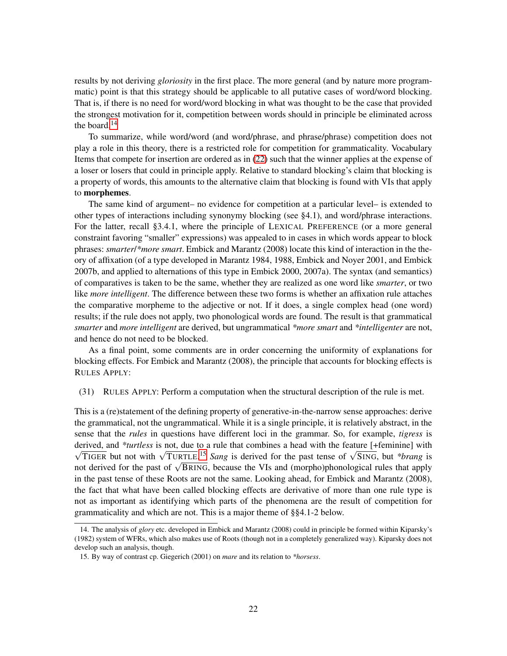results by not deriving *gloriosity* in the first place. The more general (and by nature more programmatic) point is that this strategy should be applicable to all putative cases of word/word blocking. That is, if there is no need for word/word blocking in what was thought to be the case that provided the strongest motivation for it, competition between words should in principle be eliminated across the board.[14](#page-21-0)

To summarize, while word/word (and word/phrase, and phrase/phrase) competition does not play a role in this theory, there is a restricted role for competition for grammaticality. Vocabulary Items that compete for insertion are ordered as in [\(22\)](#page-19-2) such that the winner applies at the expense of a loser or losers that could in principle apply. Relative to standard blocking's claim that blocking is a property of words, this amounts to the alternative claim that blocking is found with VIs that apply to morphemes.

The same kind of argument– no evidence for competition at a particular level– is extended to other types of interactions including synonymy blocking (see §4.1), and word/phrase interactions. For the latter, recall §3.4.1, where the principle of LEXICAL PREFERENCE (or a more general constraint favoring "smaller" expressions) was appealed to in cases in which words appear to block phrases: *smarter*/*\*more smart*. Embick and Marantz (2008) locate this kind of interaction in the theory of affixation (of a type developed in Marantz 1984, 1988, Embick and Noyer 2001, and Embick 2007b, and applied to alternations of this type in Embick 2000, 2007a). The syntax (and semantics) of comparatives is taken to be the same, whether they are realized as one word like *smarter*, or two like *more intelligent*. The difference between these two forms is whether an affixation rule attaches the comparative morpheme to the adjective or not. If it does, a single complex head (one word) results; if the rule does not apply, two phonological words are found. The result is that grammatical *smarter* and *more intelligent* are derived, but ungrammatical *\*more smart* and *\*intelligenter* are not, and hence do not need to be blocked.

As a final point, some comments are in order concerning the uniformity of explanations for blocking effects. For Embick and Marantz (2008), the principle that accounts for blocking effects is RULES APPLY:

#### (31) RULES APPLY: Perform a computation when the structural description of the rule is met.

This is a (re)statement of the defining property of generative-in-the-narrow sense approaches: derive the grammatical, not the ungrammatical. While it is a single principle, it is relatively abstract, in the sense that the *rules* in questions have different loci in the grammar. So, for example, *tigress* is derived, and *\*turtless* is not, due to a rule that combines a head with the feature [+feminine] with √ <sup>T</sup>IGER but not with <sup>√</sup> TURTLE. [15](#page-21-1) *Sang* is derived for the past tense of <sup>√</sup> SING, but *\*brang* is not derived for the past of √BRING, because the VIs and (morpho)phonological rules that apply not derived for the past of √BRING, because the VIs and (morpho)phonological rules that apply in the past tense of these Roots are not the same. Looking ahead, for Embick and Marantz (2008), the fact that what have been called blocking effects are derivative of more than one rule type is not as important as identifying which parts of the phenomena are the result of competition for grammaticality and which are not. This is a major theme of §§4.1-2 below.

<span id="page-21-0"></span><sup>14.</sup> The analysis of *glory* etc. developed in Embick and Marantz (2008) could in principle be formed within Kiparsky's (1982) system of WFRs, which also makes use of Roots (though not in a completely generalized way). Kiparsky does not develop such an analysis, though.

<span id="page-21-1"></span><sup>15.</sup> By way of contrast cp. Giegerich (2001) on *mare* and its relation to *\*horsess*.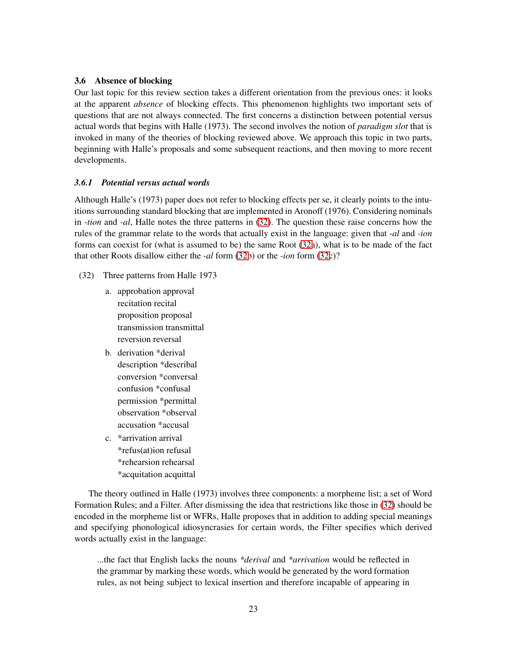## 3.6 Absence of blocking

Our last topic for this review section takes a different orientation from the previous ones: it looks at the apparent *absence* of blocking effects. This phenomenon highlights two important sets of questions that are not always connected. The first concerns a distinction between potential versus actual words that begins with Halle (1973). The second involves the notion of *paradigm slot* that is invoked in many of the theories of blocking reviewed above. We approach this topic in two parts, beginning with Halle's proposals and some subsequent reactions, and then moving to more recent developments.

## *3.6.1 Potential versus actual words*

Although Halle's (1973) paper does not refer to blocking effects per se, it clearly points to the intuitions surrounding standard blocking that are implemented in Aronoff (1976). Considering nominals in *-tion* and *-al*, Halle notes the three patterns in [\(32\)](#page-22-0). The question these raise concerns how the rules of the grammar relate to the words that actually exist in the language: given that *-al* and *-ion* forms can coexist for (what is assumed to be) the same Root [\(32a](#page-22-0)), what is to be made of the fact that other Roots disallow either the *-al* form [\(32b](#page-22-0)) or the *-ion* form [\(32c](#page-22-0))?

- <span id="page-22-0"></span>(32) Three patterns from Halle 1973
	- a. approbation approval recitation recital proposition proposal transmission transmittal reversion reversal
	- b. derivation \*derival description \*describal conversion \*conversal confusion \*confusal permission \*permittal observation \*observal accusation \*accusal
	- c. \*arrivation arrival \*refus(at)ion refusal \*rehearsion rehearsal \*acquitation acquittal

The theory outlined in Halle (1973) involves three components: a morpheme list; a set of Word Formation Rules; and a Filter. After dismissing the idea that restrictions like those in [\(32\)](#page-22-0) should be encoded in the morpheme list or WFRs, Halle proposes that in addition to adding special meanings and specifying phonological idiosyncrasies for certain words, the Filter specifies which derived words actually exist in the language:

...the fact that English lacks the nouns *\*derival* and *\*arrivation* would be reflected in the grammar by marking these words, which would be generated by the word formation rules, as not being subject to lexical insertion and therefore incapable of appearing in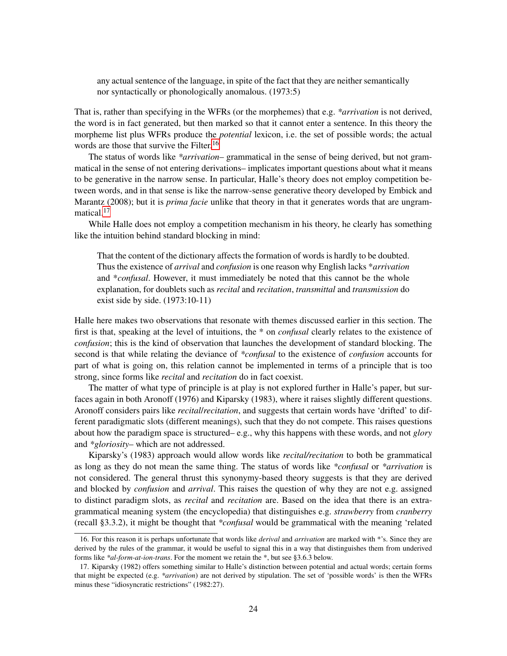any actual sentence of the language, in spite of the fact that they are neither semantically nor syntactically or phonologically anomalous. (1973:5)

That is, rather than specifying in the WFRs (or the morphemes) that e.g. *\*arrivation* is not derived, the word is in fact generated, but then marked so that it cannot enter a sentence. In this theory the morpheme list plus WFRs produce the *potential* lexicon, i.e. the set of possible words; the actual words are those that survive the Filter.<sup>[16](#page-23-0)</sup>

The status of words like *\*arrivation*– grammatical in the sense of being derived, but not grammatical in the sense of not entering derivations– implicates important questions about what it means to be generative in the narrow sense. In particular, Halle's theory does not employ competition between words, and in that sense is like the narrow-sense generative theory developed by Embick and Marantz (2008); but it is *prima facie* unlike that theory in that it generates words that are ungram-matical.<sup>[17](#page-23-1)</sup>

While Halle does not employ a competition mechanism in his theory, he clearly has something like the intuition behind standard blocking in mind:

That the content of the dictionary affects the formation of words is hardly to be doubted. Thus the existence of *arrival* and *confusion* is one reason why English lacks \**arrivation* and \**confusal*. However, it must immediately be noted that this cannot be the whole explanation, for doublets such as *recital* and *recitation*, *transmittal* and *transmission* do exist side by side. (1973:10-11)

Halle here makes two observations that resonate with themes discussed earlier in this section. The first is that, speaking at the level of intuitions, the \* on *confusal* clearly relates to the existence of *confusion*; this is the kind of observation that launches the development of standard blocking. The second is that while relating the deviance of *\*confusal* to the existence of *confusion* accounts for part of what is going on, this relation cannot be implemented in terms of a principle that is too strong, since forms like *recital* and *recitation* do in fact coexist.

The matter of what type of principle is at play is not explored further in Halle's paper, but surfaces again in both Aronoff (1976) and Kiparsky (1983), where it raises slightly different questions. Aronoff considers pairs like *recital*/*recitation*, and suggests that certain words have 'drifted' to different paradigmatic slots (different meanings), such that they do not compete. This raises questions about how the paradigm space is structured– e.g., why this happens with these words, and not *glory* and *\*gloriosity*– which are not addressed.

Kiparsky's (1983) approach would allow words like *recital/recitation* to both be grammatical as long as they do not mean the same thing. The status of words like *\*confusal* or *\*arrivation* is not considered. The general thrust this synonymy-based theory suggests is that they are derived and blocked by *confusion* and *arrival*. This raises the question of why they are not e.g. assigned to distinct paradigm slots, as *recital* and *recitation* are. Based on the idea that there is an extragrammatical meaning system (the encyclopedia) that distinguishes e.g. *strawberry* from *cranberry* (recall §3.3.2), it might be thought that *\*confusal* would be grammatical with the meaning 'related

<span id="page-23-0"></span><sup>16.</sup> For this reason it is perhaps unfortunate that words like *derival* and *arrivation* are marked with \*'s. Since they are derived by the rules of the grammar, it would be useful to signal this in a way that distinguishes them from underived forms like *\*al-form-at-ion-trans*. For the moment we retain the \*, but see §3.6.3 below.

<span id="page-23-1"></span><sup>17.</sup> Kiparsky (1982) offers something similar to Halle's distinction between potential and actual words; certain forms that might be expected (e.g. *\*arrivation*) are not derived by stipulation. The set of 'possible words' is then the WFRs minus these "idiosyncratic restrictions" (1982:27).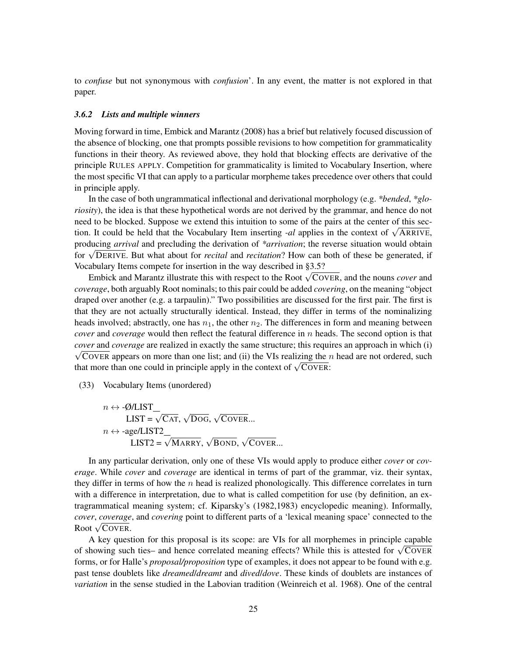to *confuse* but not synonymous with *confusion*'. In any event, the matter is not explored in that paper.

#### *3.6.2 Lists and multiple winners*

Moving forward in time, Embick and Marantz (2008) has a brief but relatively focused discussion of the absence of blocking, one that prompts possible revisions to how competition for grammaticality functions in their theory. As reviewed above, they hold that blocking effects are derivative of the principle RULES APPLY. Competition for grammaticality is limited to Vocabulary Insertion, where the most specific VI that can apply to a particular morpheme takes precedence over others that could in principle apply.

In the case of both ungrammatical inflectional and derivational morphology (e.g. *\*bended*, *\*gloriosity*), the idea is that these hypothetical words are not derived by the grammar, and hence do not need to be blocked. Suppose we extend this intuition to some of the pairs at the center of this section. It could be held that the Vocabulary Item inserting *-al* applies in the context of  $\sqrt{\text{ARRive}}$ , producing *arrival* and precluding the derivation of *\*arrivation*; the reverse situation would obtain for <sup>√</sup> DERIVE. But what about for *recital* and *recitation*? How can both of these be generated, if Vocabulary Items compete for insertion in the way described in §3.5?

Embick and Marantz illustrate this with respect to the Root <sup>√</sup> COVER, and the nouns *cover* and *coverage*, both arguably Root nominals; to this pair could be added *covering*, on the meaning "object draped over another (e.g. a tarpaulin)." Two possibilities are discussed for the first pair. The first is that they are not actually structurally identical. Instead, they differ in terms of the nominalizing heads involved; abstractly, one has  $n_1$ , the other  $n_2$ . The differences in form and meaning between *cover* and *coverage* would then reflect the featural difference in n heads. The second option is that  $\sqrt{\text{CovER}}$  appears on more than one list; and (ii) the VIs realizing the *n* head are not ordered, such *cover* and *coverage* are realized in exactly the same structure; this requires an approach in which (i) that more than one could in principle apply in the context of  $\sqrt{\text{Cov}}$ R:

(33) Vocabulary Items (unordered)

$$
n \leftrightarrow \text{-}\mathcal{O}/\text{LIST\_}
$$
\n
$$
\text{LIST} = \sqrt{\text{CAT}}, \sqrt{\text{Dog}}, \sqrt{\text{Cover}}...
$$
\n
$$
n \leftrightarrow \text{-age}/\text{LIST2\_}
$$
\n
$$
\text{LIST2} = \sqrt{\text{MART}}, \sqrt{\text{BOND}}, \sqrt{\text{Cover}}...
$$

In any particular derivation, only one of these VIs would apply to produce either *cover* or *coverage*. While *cover* and *coverage* are identical in terms of part of the grammar, viz. their syntax, they differ in terms of how the  $n$  head is realized phonologically. This difference correlates in turn with a difference in interpretation, due to what is called competition for use (by definition, an extragrammatical meaning system; cf. Kiparsky's (1982,1983) encyclopedic meaning). Informally, *cover*, *coverage*, and *covering* point to different parts of a 'lexical meaning space' connected to the Root <sup>√</sup> COVER.

A key question for this proposal is its scope: are VIs for all morphemes in principle capable of showing such ties– and hence correlated meaning effects? While this is attested for  $\sqrt{\text{CovER}}$ forms, or for Halle's *proposal/proposition* type of examples, it does not appear to be found with e.g. past tense doublets like *dreamed*/*dreamt* and *dived*/*dove*. These kinds of doublets are instances of *variation* in the sense studied in the Labovian tradition (Weinreich et al. 1968). One of the central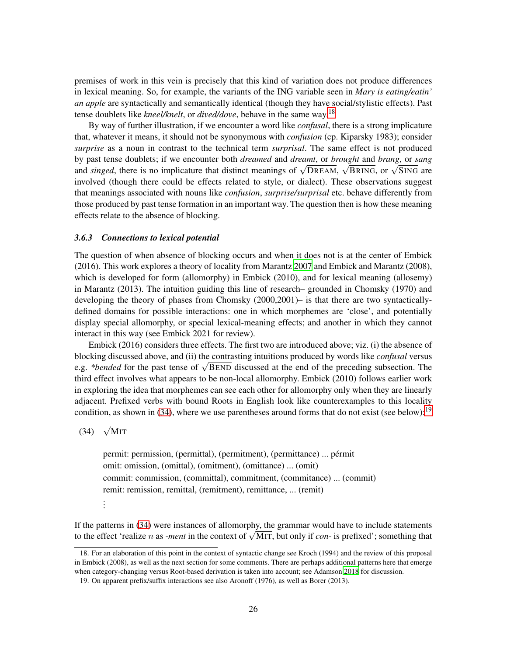premises of work in this vein is precisely that this kind of variation does not produce differences in lexical meaning. So, for example, the variants of the ING variable seen in *Mary is eating/eatin' an apple* are syntactically and semantically identical (though they have social/stylistic effects). Past tense doublets like *kneel/knelt*, or *dived/dove*, behave in the same way.[18](#page-25-0)

By way of further illustration, if we encounter a word like *confusal*, there is a strong implicature that, whatever it means, it should not be synonymous with *confusion* (cp. Kiparsky 1983); consider *surprise* as a noun in contrast to the technical term *surprisal*. The same effect is not produced by past tense doublets; if we encounter both *dreamed* and *dreamt*, or *brought* and *brang*, or *sang* and *singed*, there is no implicature that distinct meanings of  $\sqrt{\text{DREAM}}$ ,  $\sqrt{\text{BRING}}$ , or  $\sqrt{\text{SING}}$  are involved (though there could be effects related to style, or dialect). These observations suggest that meanings associated with nouns like *confusion*, *surprise/surprisal* etc. behave differently from those produced by past tense formation in an important way. The question then is how these meaning effects relate to the absence of blocking.

## *3.6.3 Connections to lexical potential*

The question of when absence of blocking occurs and when it does not is at the center of Embick (2016). This work explores a theory of locality from Marantz [2007](#page-37-1) and Embick and Marantz (2008), which is developed for form (allomorphy) in Embick (2010), and for lexical meaning (allosemy) in Marantz (2013). The intuition guiding this line of research– grounded in Chomsky (1970) and developing the theory of phases from Chomsky (2000,2001)– is that there are two syntacticallydefined domains for possible interactions: one in which morphemes are 'close', and potentially display special allomorphy, or special lexical-meaning effects; and another in which they cannot interact in this way (see Embick 2021 for review).

Embick (2016) considers three effects. The first two are introduced above; viz. (i) the absence of blocking discussed above, and (ii) the contrasting intuitions produced by words like *confusal* versus e.g. *\*bended* for the past tense of <sup>√</sup> BEND discussed at the end of the preceding subsection. The third effect involves what appears to be non-local allomorphy. Embick (2010) follows earlier work in exploring the idea that morphemes can see each other for allomorphy only when they are linearly adjacent. Prefixed verbs with bound Roots in English look like counterexamples to this locality condition, as shown in [\(34\)](#page-25-1), where we use parentheses around forms that do not exist (see below):  $19$ 

# <span id="page-25-1"></span>(34)  $\sqrt{\text{MIT}}$

permit: permission, (permittal), (permitment), (permittance) ... pérmit omit: omission, (omittal), (omitment), (omittance) ... (omit) commit: commission, (committal), commitment, (commitance) ... (commit) remit: remission, remittal, (remitment), remittance, ... (remit) . . .

If the patterns in [\(34\)](#page-25-1) were instances of allomorphy, the grammar would have to include statements to the effect 'realize *n* as *-ment* in the context of  $\sqrt{MT}$ , but only if *con*- is prefixed'; something that

<span id="page-25-0"></span><sup>18.</sup> For an elaboration of this point in the context of syntactic change see Kroch (1994) and the review of this proposal in Embick (2008), as well as the next section for some comments. There are perhaps additional patterns here that emerge when category-changing versus Root-based derivation is taken into account; see Adamson [2018](#page-34-4) for discussion.

<span id="page-25-2"></span><sup>19.</sup> On apparent prefix/suffix interactions see also Aronoff (1976), as well as Borer (2013).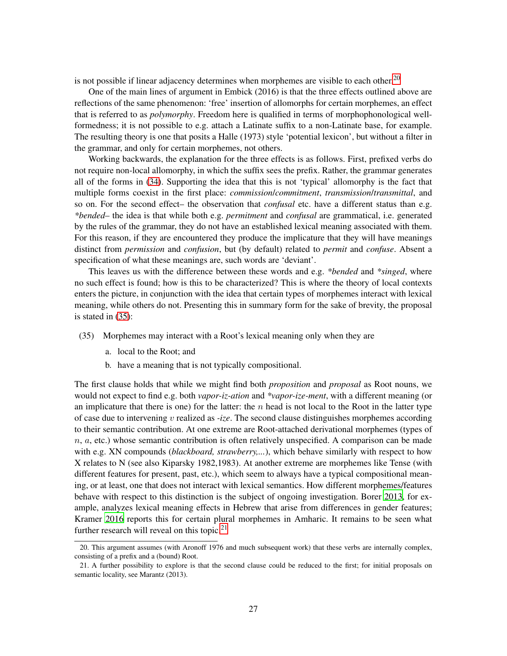is not possible if linear adjacency determines when morphemes are visible to each other.<sup>[20](#page-26-0)</sup>

One of the main lines of argument in Embick (2016) is that the three effects outlined above are reflections of the same phenomenon: 'free' insertion of allomorphs for certain morphemes, an effect that is referred to as *polymorphy*. Freedom here is qualified in terms of morphophonological wellformedness; it is not possible to e.g. attach a Latinate suffix to a non-Latinate base, for example. The resulting theory is one that posits a Halle (1973) style 'potential lexicon', but without a filter in the grammar, and only for certain morphemes, not others.

Working backwards, the explanation for the three effects is as follows. First, prefixed verbs do not require non-local allomorphy, in which the suffix sees the prefix. Rather, the grammar generates all of the forms in [\(34\)](#page-25-1). Supporting the idea that this is not 'typical' allomorphy is the fact that multiple forms coexist in the first place: *commission*/*commitment*, *transmission*/*transmittal*, and so on. For the second effect– the observation that *confusal* etc. have a different status than e.g. *\*bended*– the idea is that while both e.g. *permitment* and *confusal* are grammatical, i.e. generated by the rules of the grammar, they do not have an established lexical meaning associated with them. For this reason, if they are encountered they produce the implicature that they will have meanings distinct from *permission* and *confusion*, but (by default) related to *permit* and *confuse*. Absent a specification of what these meanings are, such words are 'deviant'.

This leaves us with the difference between these words and e.g. *\*bended* and *\*singed*, where no such effect is found; how is this to be characterized? This is where the theory of local contexts enters the picture, in conjunction with the idea that certain types of morphemes interact with lexical meaning, while others do not. Presenting this in summary form for the sake of brevity, the proposal is stated in [\(35\)](#page-26-1):

- <span id="page-26-1"></span>(35) Morphemes may interact with a Root's lexical meaning only when they are
	- a. local to the Root; and
	- b. have a meaning that is not typically compositional.

The first clause holds that while we might find both *proposition* and *proposal* as Root nouns, we would not expect to find e.g. both *vapor-iz-ation* and *\*vapor-ize-ment*, with a different meaning (or an implicature that there is one) for the latter: the  $n$  head is not local to the Root in the latter type of case due to intervening v realized as *-ize*. The second clause distinguishes morphemes according to their semantic contribution. At one extreme are Root-attached derivational morphemes (types of  $n, a$ , etc.) whose semantic contribution is often relatively unspecified. A comparison can be made with e.g. XN compounds *(blackboard, strawberry,...)*, which behave similarly with respect to how X relates to N (see also Kiparsky 1982,1983). At another extreme are morphemes like Tense (with different features for present, past, etc.), which seem to always have a typical compositional meaning, or at least, one that does not interact with lexical semantics. How different morphemes/features behave with respect to this distinction is the subject of ongoing investigation. Borer [2013](#page-34-5), for example, analyzes lexical meaning effects in Hebrew that arise from differences in gender features; Kramer [2016](#page-36-0) reports this for certain plural morphemes in Amharic. It remains to be seen what further research will reveal on this topic.<sup>[21](#page-26-2)</sup>

<span id="page-26-0"></span><sup>20.</sup> This argument assumes (with Aronoff 1976 and much subsequent work) that these verbs are internally complex, consisting of a prefix and a (bound) Root.

<span id="page-26-2"></span><sup>21.</sup> A further possibility to explore is that the second clause could be reduced to the first; for initial proposals on semantic locality, see Marantz (2013).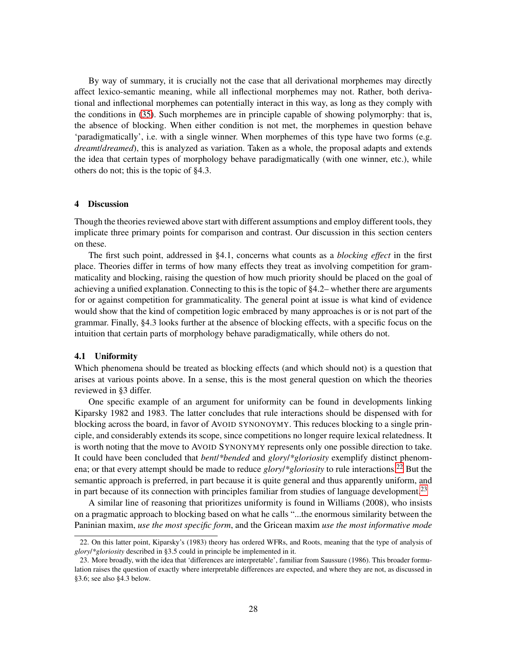By way of summary, it is crucially not the case that all derivational morphemes may directly affect lexico-semantic meaning, while all inflectional morphemes may not. Rather, both derivational and inflectional morphemes can potentially interact in this way, as long as they comply with the conditions in [\(35\)](#page-26-1). Such morphemes are in principle capable of showing polymorphy: that is, the absence of blocking. When either condition is not met, the morphemes in question behave 'paradigmatically', i.e. with a single winner. When morphemes of this type have two forms (e.g. *dreamt*/*dreamed*), this is analyzed as variation. Taken as a whole, the proposal adapts and extends the idea that certain types of morphology behave paradigmatically (with one winner, etc.), while others do not; this is the topic of §4.3.

#### 4 Discussion

Though the theories reviewed above start with different assumptions and employ different tools, they implicate three primary points for comparison and contrast. Our discussion in this section centers on these.

The first such point, addressed in §4.1, concerns what counts as a *blocking effect* in the first place. Theories differ in terms of how many effects they treat as involving competition for grammaticality and blocking, raising the question of how much priority should be placed on the goal of achieving a unified explanation. Connecting to this is the topic of §4.2– whether there are arguments for or against competition for grammaticality. The general point at issue is what kind of evidence would show that the kind of competition logic embraced by many approaches is or is not part of the grammar. Finally, §4.3 looks further at the absence of blocking effects, with a specific focus on the intuition that certain parts of morphology behave paradigmatically, while others do not.

#### 4.1 Uniformity

Which phenomena should be treated as blocking effects (and which should not) is a question that arises at various points above. In a sense, this is the most general question on which the theories reviewed in §3 differ.

One specific example of an argument for uniformity can be found in developments linking Kiparsky 1982 and 1983. The latter concludes that rule interactions should be dispensed with for blocking across the board, in favor of AVOID SYNONOYMY. This reduces blocking to a single principle, and considerably extends its scope, since competitions no longer require lexical relatedness. It is worth noting that the move to AVOID SYNONYMY represents only one possible direction to take. It could have been concluded that *bent*/*\*bended* and *glory*/*\*gloriosity* exemplify distinct phenomena; or that every attempt should be made to reduce *glory*/\**gloriosity* to rule interactions.<sup>[22](#page-27-0)</sup> But the semantic approach is preferred, in part because it is quite general and thus apparently uniform, and in part because of its connection with principles familiar from studies of language development.<sup>[23](#page-27-1)</sup>

A similar line of reasoning that prioritizes uniformity is found in Williams (2008), who insists on a pragmatic approach to blocking based on what he calls "...the enormous similarity between the Paninian maxim, *use the most specific form*, and the Gricean maxim *use the most informative mode*

<span id="page-27-0"></span><sup>22.</sup> On this latter point, Kiparsky's (1983) theory has ordered WFRs, and Roots, meaning that the type of analysis of *glory*/*\*gloriosity* described in §3.5 could in principle be implemented in it.

<span id="page-27-1"></span><sup>23.</sup> More broadly, with the idea that 'differences are interpretable', familiar from Saussure (1986). This broader formulation raises the question of exactly where interpretable differences are expected, and where they are not, as discussed in §3.6; see also §4.3 below.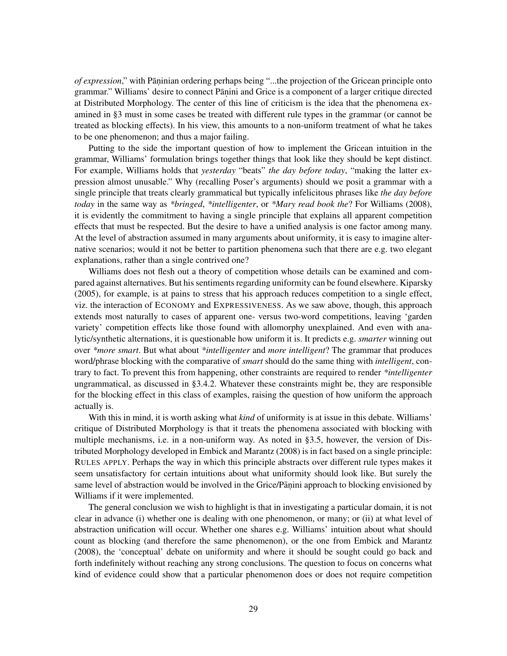of expression," with Pāṇinian ordering perhaps being "...the projection of the Gricean principle onto grammar." Williams' desire to connect Pāṇini and Grice is a component of a larger critique directed at Distributed Morphology. The center of this line of criticism is the idea that the phenomena examined in §3 must in some cases be treated with different rule types in the grammar (or cannot be treated as blocking effects). In his view, this amounts to a non-uniform treatment of what he takes to be one phenomenon; and thus a major failing.

Putting to the side the important question of how to implement the Gricean intuition in the grammar, Williams' formulation brings together things that look like they should be kept distinct. For example, Williams holds that *yesterday* "beats" *the day before today*, "making the latter expression almost unusable." Why (recalling Poser's arguments) should we posit a grammar with a single principle that treats clearly grammatical but typically infelicitous phrases like *the day before today* in the same way as *\*bringed*, *\*intelligenter*, or *\*Mary read book the*? For Williams (2008), it is evidently the commitment to having a single principle that explains all apparent competition effects that must be respected. But the desire to have a unified analysis is one factor among many. At the level of abstraction assumed in many arguments about uniformity, it is easy to imagine alternative scenarios; would it not be better to partition phenomena such that there are e.g. two elegant explanations, rather than a single contrived one?

Williams does not flesh out a theory of competition whose details can be examined and compared against alternatives. But his sentiments regarding uniformity can be found elsewhere. Kiparsky (2005), for example, is at pains to stress that his approach reduces competition to a single effect, viz. the interaction of ECONOMY and EXPRESSIVENESS. As we saw above, though, this approach extends most naturally to cases of apparent one- versus two-word competitions, leaving 'garden variety' competition effects like those found with allomorphy unexplained. And even with analytic/synthetic alternations, it is questionable how uniform it is. It predicts e.g. *smarter* winning out over *\*more smart*. But what about *\*intelligenter* and *more intelligent*? The grammar that produces word/phrase blocking with the comparative of *smart* should do the same thing with *intelligent*, contrary to fact. To prevent this from happening, other constraints are required to render *\*intelligenter* ungrammatical, as discussed in §3.4.2. Whatever these constraints might be, they are responsible for the blocking effect in this class of examples, raising the question of how uniform the approach actually is.

With this in mind, it is worth asking what *kind* of uniformity is at issue in this debate. Williams' critique of Distributed Morphology is that it treats the phenomena associated with blocking with multiple mechanisms, i.e. in a non-uniform way. As noted in §3.5, however, the version of Distributed Morphology developed in Embick and Marantz (2008) is in fact based on a single principle: RULES APPLY. Perhaps the way in which this principle abstracts over different rule types makes it seem unsatisfactory for certain intuitions about what uniformity should look like. But surely the same level of abstraction would be involved in the Grice/Pāṇini approach to blocking envisioned by Williams if it were implemented.

The general conclusion we wish to highlight is that in investigating a particular domain, it is not clear in advance (i) whether one is dealing with one phenomenon, or many; or (ii) at what level of abstraction unification will occur. Whether one shares e.g. Williams' intuition about what should count as blocking (and therefore the same phenomenon), or the one from Embick and Marantz (2008), the 'conceptual' debate on uniformity and where it should be sought could go back and forth indefinitely without reaching any strong conclusions. The question to focus on concerns what kind of evidence could show that a particular phenomenon does or does not require competition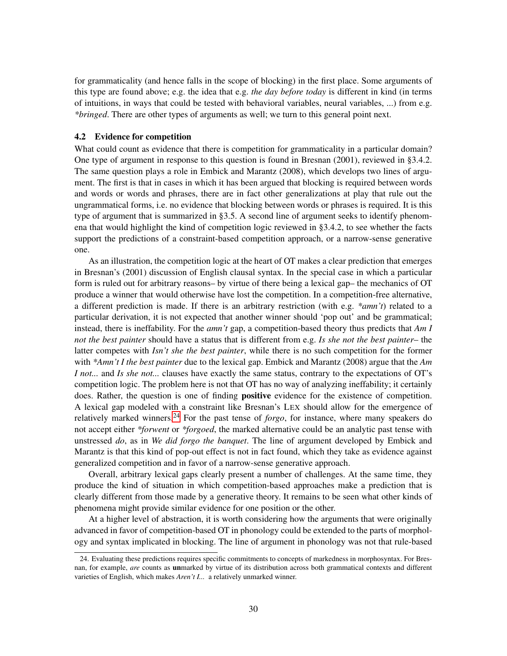for grammaticality (and hence falls in the scope of blocking) in the first place. Some arguments of this type are found above; e.g. the idea that e.g. *the day before today* is different in kind (in terms of intuitions, in ways that could be tested with behavioral variables, neural variables, ...) from e.g. *\*bringed*. There are other types of arguments as well; we turn to this general point next.

#### 4.2 Evidence for competition

What could count as evidence that there is competition for grammaticality in a particular domain? One type of argument in response to this question is found in Bresnan (2001), reviewed in §3.4.2. The same question plays a role in Embick and Marantz (2008), which develops two lines of argument. The first is that in cases in which it has been argued that blocking is required between words and words or words and phrases, there are in fact other generalizations at play that rule out the ungrammatical forms, i.e. no evidence that blocking between words or phrases is required. It is this type of argument that is summarized in §3.5. A second line of argument seeks to identify phenomena that would highlight the kind of competition logic reviewed in §3.4.2, to see whether the facts support the predictions of a constraint-based competition approach, or a narrow-sense generative one.

As an illustration, the competition logic at the heart of OT makes a clear prediction that emerges in Bresnan's (2001) discussion of English clausal syntax. In the special case in which a particular form is ruled out for arbitrary reasons– by virtue of there being a lexical gap– the mechanics of OT produce a winner that would otherwise have lost the competition. In a competition-free alternative, a different prediction is made. If there is an arbitrary restriction (with e.g. *\*amn't*) related to a particular derivation, it is not expected that another winner should 'pop out' and be grammatical; instead, there is ineffability. For the *amn't* gap, a competition-based theory thus predicts that *Am I not the best painter* should have a status that is different from e.g. *Is she not the best painter*– the latter competes with *Isn't she the best painter*, while there is no such competition for the former with *\*Amn't I the best painter* due to the lexical gap. Embick and Marantz (2008) argue that the *Am I not...* and *Is she not...* clauses have exactly the same status, contrary to the expectations of OT's competition logic. The problem here is not that OT has no way of analyzing ineffability; it certainly does. Rather, the question is one of finding **positive** evidence for the existence of competition. A lexical gap modeled with a constraint like Bresnan's LEX should allow for the emergence of relatively marked winners.[24](#page-29-0) For the past tense of *forgo*, for instance, where many speakers do not accept either *\*forwent* or *\*forgoed*, the marked alternative could be an analytic past tense with unstressed *do*, as in *We did forgo the banquet*. The line of argument developed by Embick and Marantz is that this kind of pop-out effect is not in fact found, which they take as evidence against generalized competition and in favor of a narrow-sense generative approach.

Overall, arbitrary lexical gaps clearly present a number of challenges. At the same time, they produce the kind of situation in which competition-based approaches make a prediction that is clearly different from those made by a generative theory. It remains to be seen what other kinds of phenomena might provide similar evidence for one position or the other.

At a higher level of abstraction, it is worth considering how the arguments that were originally advanced in favor of competition-based OT in phonology could be extended to the parts of morphology and syntax implicated in blocking. The line of argument in phonology was not that rule-based

<span id="page-29-0"></span><sup>24.</sup> Evaluating these predictions requires specific commitments to concepts of markedness in morphosyntax. For Bresnan, for example, *are* counts as unmarked by virtue of its distribution across both grammatical contexts and different varieties of English, which makes *Aren't I...* a relatively unmarked winner.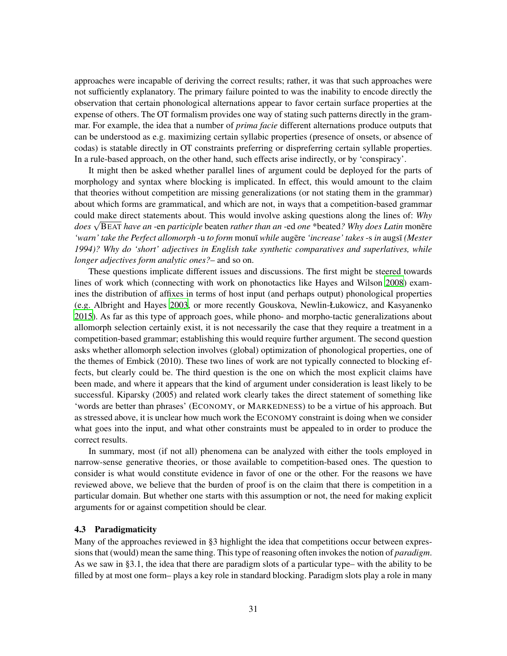approaches were incapable of deriving the correct results; rather, it was that such approaches were not sufficiently explanatory. The primary failure pointed to was the inability to encode directly the observation that certain phonological alternations appear to favor certain surface properties at the expense of others. The OT formalism provides one way of stating such patterns directly in the grammar. For example, the idea that a number of *prima facie* different alternations produce outputs that can be understood as e.g. maximizing certain syllabic properties (presence of onsets, or absence of codas) is statable directly in OT constraints preferring or dispreferring certain syllable properties. In a rule-based approach, on the other hand, such effects arise indirectly, or by 'conspiracy'.

It might then be asked whether parallel lines of argument could be deployed for the parts of morphology and syntax where blocking is implicated. In effect, this would amount to the claim that theories without competition are missing generalizations (or not stating them in the grammar) about which forms are grammatical, and which are not, in ways that a competition-based grammar could make direct statements about. This would involve asking questions along the lines of: *Why does* √BEAT *have an* -en *participle* beaten *rather than an* -ed *one* \*beated*? Why does Latin* monere *'warn' take the Perfect allomorph* -u *to form* monu¯ı *while* augere ¯ *'increase' takes* -s *in* augs¯ı *(Mester 1994)? Why do 'short' adjectives in English take synthetic comparatives and superlatives, while longer adjectives form analytic ones?*– and so on.

These questions implicate different issues and discussions. The first might be steered towards lines of work which (connecting with work on phonotactics like Hayes and Wilson [2008\)](#page-36-1) examines the distribution of affixes in terms of host input (and perhaps output) phonological properties (e.g. Albright and Hayes [2003](#page-34-6), or more recently Gouskova, Newlin-Łukowicz, and Kasyanenko [2015\)](#page-35-0). As far as this type of approach goes, while phono- and morpho-tactic generalizations about allomorph selection certainly exist, it is not necessarily the case that they require a treatment in a competition-based grammar; establishing this would require further argument. The second question asks whether allomorph selection involves (global) optimization of phonological properties, one of the themes of Embick (2010). These two lines of work are not typically connected to blocking effects, but clearly could be. The third question is the one on which the most explicit claims have been made, and where it appears that the kind of argument under consideration is least likely to be successful. Kiparsky (2005) and related work clearly takes the direct statement of something like 'words are better than phrases' (ECONOMY, or MARKEDNESS) to be a virtue of his approach. But as stressed above, it is unclear how much work the ECONOMY constraint is doing when we consider what goes into the input, and what other constraints must be appealed to in order to produce the correct results.

In summary, most (if not all) phenomena can be analyzed with either the tools employed in narrow-sense generative theories, or those available to competition-based ones. The question to consider is what would constitute evidence in favor of one or the other. For the reasons we have reviewed above, we believe that the burden of proof is on the claim that there is competition in a particular domain. But whether one starts with this assumption or not, the need for making explicit arguments for or against competition should be clear.

## 4.3 Paradigmaticity

Many of the approaches reviewed in §3 highlight the idea that competitions occur between expressions that (would) mean the same thing. This type of reasoning often invokes the notion of *paradigm*. As we saw in §3.1, the idea that there are paradigm slots of a particular type– with the ability to be filled by at most one form– plays a key role in standard blocking. Paradigm slots play a role in many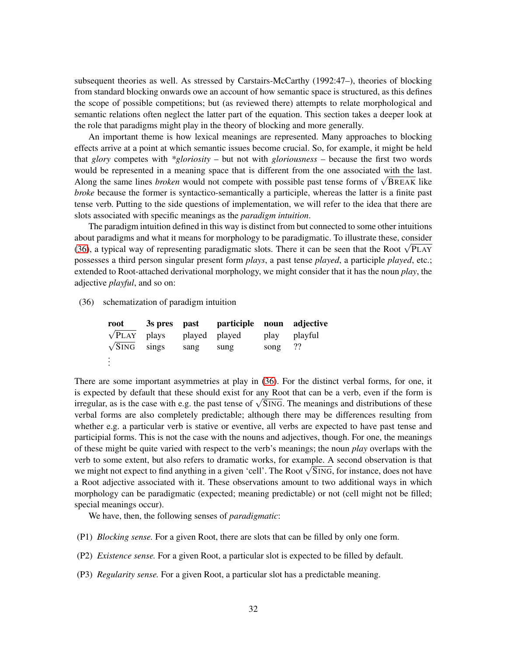subsequent theories as well. As stressed by Carstairs-McCarthy (1992:47–), theories of blocking from standard blocking onwards owe an account of how semantic space is structured, as this defines the scope of possible competitions; but (as reviewed there) attempts to relate morphological and semantic relations often neglect the latter part of the equation. This section takes a deeper look at the role that paradigms might play in the theory of blocking and more generally.

An important theme is how lexical meanings are represented. Many approaches to blocking effects arrive at a point at which semantic issues become crucial. So, for example, it might be held that *glory* competes with *\*gloriosity* – but not with *gloriousness* – because the first two words would be represented in a meaning space that is different from the one associated with the last. Along the same lines *broken* would not compete with possible past tense forms of <sup>√</sup> BREAK like *broke* because the former is syntactico-semantically a participle, whereas the latter is a finite past tense verb. Putting to the side questions of implementation, we will refer to the idea that there are slots associated with specific meanings as the *paradigm intuition*.

The paradigm intuition defined in this way is distinct from but connected to some other intuitions about paradigms and what it means for morphology to be paradigmatic. To illustrate these, consider [\(36\)](#page-31-0), a typical way of representing paradigmatic slots. There it can be seen that the Root <sup>√</sup> PLAY possesses a third person singular present form *plays*, a past tense *played*, a participle *played*, etc.; extended to Root-attached derivational morphology, we might consider that it has the noun *play*, the adjective *playful*, and so on:

<span id="page-31-0"></span>(36) schematization of paradigm intuition

| root                |      | 3s pres past participle noun adjective |      |         |
|---------------------|------|----------------------------------------|------|---------|
| $\sqrt{P}LAY$ plays |      | played played                          | play | playful |
| $\sqrt{SING}$ sings | sang | sung                                   | song | 22      |
| $\vdots$            |      |                                        |      |         |

There are some important asymmetries at play in [\(36\)](#page-31-0). For the distinct verbal forms, for one, it is expected by default that these should exist for any Root that can be a verb, even if the form is irregular, as is the case with e.g. the past tense of  $\sqrt{S}\text{ING}$ . The meanings and distributions of these verbal forms are also completely predictable; although there may be differences resulting from whether e.g. a particular verb is stative or eventive, all verbs are expected to have past tense and participial forms. This is not the case with the nouns and adjectives, though. For one, the meanings of these might be quite varied with respect to the verb's meanings; the noun *play* overlaps with the verb to some extent, but also refers to dramatic works, for example. A second observation is that we might not expect to find anything in a given 'cell'. The Root √SING, for instance, does not have a Root adjective associated with it. These observations amount to two additional ways in which morphology can be paradigmatic (expected; meaning predictable) or not (cell might not be filled; special meanings occur).

We have, then, the following senses of *paradigmatic*:

- (P1) *Blocking sense.* For a given Root, there are slots that can be filled by only one form.
- (P2) *Existence sense.* For a given Root, a particular slot is expected to be filled by default.
- (P3) *Regularity sense.* For a given Root, a particular slot has a predictable meaning.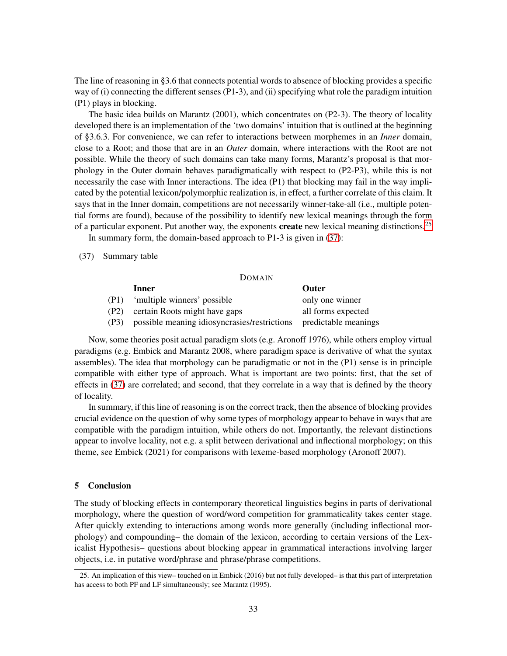The line of reasoning in §3.6 that connects potential words to absence of blocking provides a specific way of (i) connecting the different senses (P1-3), and (ii) specifying what role the paradigm intuition (P1) plays in blocking.

The basic idea builds on Marantz (2001), which concentrates on (P2-3). The theory of locality developed there is an implementation of the 'two domains' intuition that is outlined at the beginning of §3.6.3. For convenience, we can refer to interactions between morphemes in an *Inner* domain, close to a Root; and those that are in an *Outer* domain, where interactions with the Root are not possible. While the theory of such domains can take many forms, Marantz's proposal is that morphology in the Outer domain behaves paradigmatically with respect to (P2-P3), while this is not necessarily the case with Inner interactions. The idea (P1) that blocking may fail in the way implicated by the potential lexicon/polymorphic realization is, in effect, a further correlate of this claim. It says that in the Inner domain, competitions are not necessarily winner-take-all (i.e., multiple potential forms are found), because of the possibility to identify new lexical meanings through the form of a particular exponent. Put another way, the exponents **create** new lexical meaning distinctions.<sup>[25](#page-32-0)</sup>

In summary form, the domain-based approach to P1-3 is given in [\(37\)](#page-32-1):

<span id="page-32-1"></span>(37) Summary table

#### DOMAIN

|      | Inner                                                             | <b>Outer</b>       |
|------|-------------------------------------------------------------------|--------------------|
| (P1) | 'multiple winners' possible                                       | only one winner    |
| (P2) | certain Roots might have gaps                                     | all forms expected |
| (P3) | possible meaning idiosyncrasies/restrictions predictable meanings |                    |

Now, some theories posit actual paradigm slots (e.g. Aronoff 1976), while others employ virtual paradigms (e.g. Embick and Marantz 2008, where paradigm space is derivative of what the syntax assembles). The idea that morphology can be paradigmatic or not in the (P1) sense is in principle compatible with either type of approach. What is important are two points: first, that the set of effects in [\(37\)](#page-32-1) are correlated; and second, that they correlate in a way that is defined by the theory of locality.

In summary, if this line of reasoning is on the correct track, then the absence of blocking provides crucial evidence on the question of why some types of morphology appear to behave in ways that are compatible with the paradigm intuition, while others do not. Importantly, the relevant distinctions appear to involve locality, not e.g. a split between derivational and inflectional morphology; on this theme, see Embick (2021) for comparisons with lexeme-based morphology (Aronoff 2007).

## 5 Conclusion

The study of blocking effects in contemporary theoretical linguistics begins in parts of derivational morphology, where the question of word/word competition for grammaticality takes center stage. After quickly extending to interactions among words more generally (including inflectional morphology) and compounding– the domain of the lexicon, according to certain versions of the Lexicalist Hypothesis– questions about blocking appear in grammatical interactions involving larger objects, i.e. in putative word/phrase and phrase/phrase competitions.

<span id="page-32-0"></span><sup>25.</sup> An implication of this view– touched on in Embick (2016) but not fully developed– is that this part of interpretation has access to both PF and LF simultaneously; see Marantz (1995).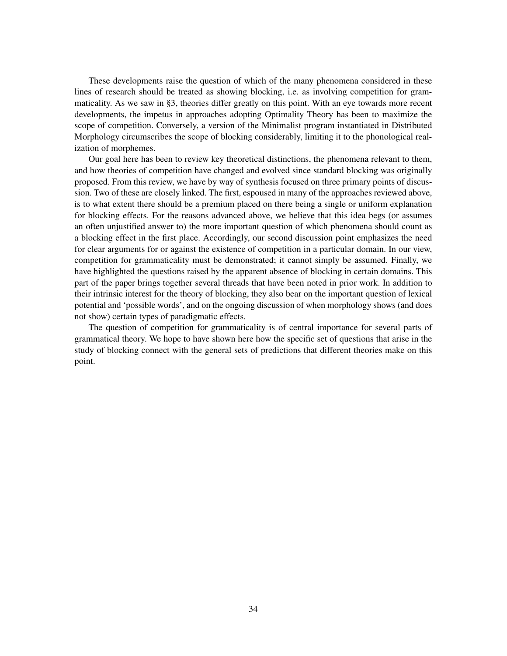These developments raise the question of which of the many phenomena considered in these lines of research should be treated as showing blocking, i.e. as involving competition for grammaticality. As we saw in §3, theories differ greatly on this point. With an eye towards more recent developments, the impetus in approaches adopting Optimality Theory has been to maximize the scope of competition. Conversely, a version of the Minimalist program instantiated in Distributed Morphology circumscribes the scope of blocking considerably, limiting it to the phonological realization of morphemes.

Our goal here has been to review key theoretical distinctions, the phenomena relevant to them, and how theories of competition have changed and evolved since standard blocking was originally proposed. From this review, we have by way of synthesis focused on three primary points of discussion. Two of these are closely linked. The first, espoused in many of the approaches reviewed above, is to what extent there should be a premium placed on there being a single or uniform explanation for blocking effects. For the reasons advanced above, we believe that this idea begs (or assumes an often unjustified answer to) the more important question of which phenomena should count as a blocking effect in the first place. Accordingly, our second discussion point emphasizes the need for clear arguments for or against the existence of competition in a particular domain. In our view, competition for grammaticality must be demonstrated; it cannot simply be assumed. Finally, we have highlighted the questions raised by the apparent absence of blocking in certain domains. This part of the paper brings together several threads that have been noted in prior work. In addition to their intrinsic interest for the theory of blocking, they also bear on the important question of lexical potential and 'possible words', and on the ongoing discussion of when morphology shows (and does not show) certain types of paradigmatic effects.

The question of competition for grammaticality is of central importance for several parts of grammatical theory. We hope to have shown here how the specific set of questions that arise in the study of blocking connect with the general sets of predictions that different theories make on this point.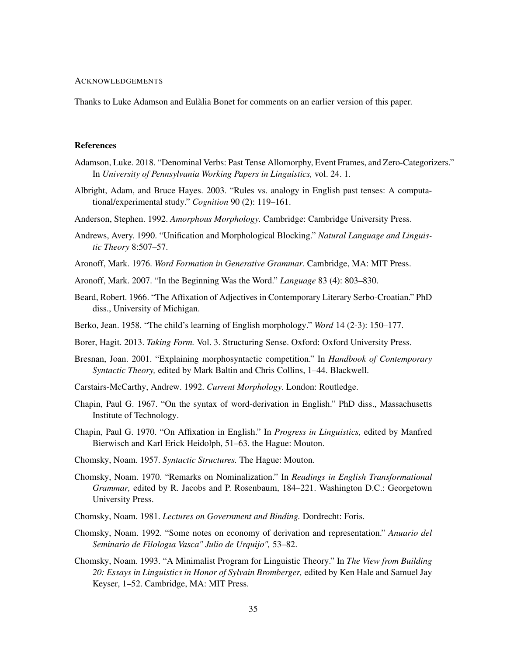### ACKNOWLEDGEMENTS

Thanks to Luke Adamson and Eulàlia Bonet for comments on an earlier version of this paper.

## <span id="page-34-4"></span>**References**

- Adamson, Luke. 2018. "Denominal Verbs: Past Tense Allomorphy, Event Frames, and Zero-Categorizers." In *University of Pennsylvania Working Papers in Linguistics,* vol. 24. 1.
- <span id="page-34-6"></span>Albright, Adam, and Bruce Hayes. 2003. "Rules vs. analogy in English past tenses: A computational/experimental study." *Cognition* 90 (2): 119–161.
- Anderson, Stephen. 1992. *Amorphous Morphology.* Cambridge: Cambridge University Press.
- Andrews, Avery. 1990. "Unification and Morphological Blocking." *Natural Language and Linguistic Theory* 8:507–57.
- Aronoff, Mark. 1976. *Word Formation in Generative Grammar.* Cambridge, MA: MIT Press.
- <span id="page-34-2"></span>Aronoff, Mark. 2007. "In the Beginning Was the Word." *Language* 83 (4): 803–830.
- Beard, Robert. 1966. "The Affixation of Adjectives in Contemporary Literary Serbo-Croatian." PhD diss., University of Michigan.
- <span id="page-34-5"></span>Berko, Jean. 1958. "The child's learning of English morphology." *Word* 14 (2-3): 150–177.
- Borer, Hagit. 2013. *Taking Form.* Vol. 3. Structuring Sense. Oxford: Oxford University Press.
- Bresnan, Joan. 2001. "Explaining morphosyntactic competition." In *Handbook of Contemporary Syntactic Theory,* edited by Mark Baltin and Chris Collins, 1–44. Blackwell.
- Carstairs-McCarthy, Andrew. 1992. *Current Morphology.* London: Routledge.
- Chapin, Paul G. 1967. "On the syntax of word-derivation in English." PhD diss., Massachusetts Institute of Technology.
- Chapin, Paul G. 1970. "On Affixation in English." In *Progress in Linguistics,* edited by Manfred Bierwisch and Karl Erick Heidolph, 51–63. the Hague: Mouton.
- <span id="page-34-3"></span>Chomsky, Noam. 1957. *Syntactic Structures.* The Hague: Mouton.
- Chomsky, Noam. 1970. "Remarks on Nominalization." In *Readings in English Transformational Grammar,* edited by R. Jacobs and P. Rosenbaum, 184–221. Washington D.C.: Georgetown University Press.
- <span id="page-34-0"></span>Chomsky, Noam. 1981. *Lectures on Government and Binding.* Dordrecht: Foris.
- Chomsky, Noam. 1992. "Some notes on economy of derivation and representation." *Anuario del Seminario de Filologıa Vasca" Julio de Urquijo",* 53–82.
- <span id="page-34-1"></span>Chomsky, Noam. 1993. "A Minimalist Program for Linguistic Theory." In *The View from Building 20: Essays in Linguistics in Honor of Sylvain Bromberger,* edited by Ken Hale and Samuel Jay Keyser, 1–52. Cambridge, MA: MIT Press.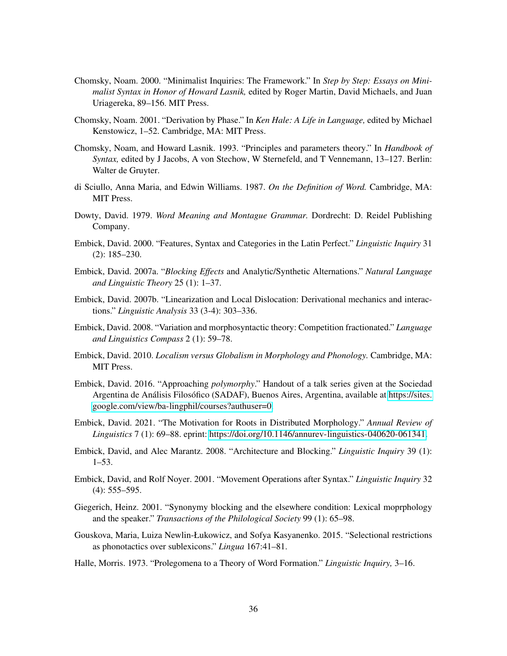- Chomsky, Noam. 2000. "Minimalist Inquiries: The Framework." In *Step by Step: Essays on Minimalist Syntax in Honor of Howard Lasnik,* edited by Roger Martin, David Michaels, and Juan Uriagereka, 89–156. MIT Press.
- Chomsky, Noam. 2001. "Derivation by Phase." In *Ken Hale: A Life in Language,* edited by Michael Kenstowicz, 1–52. Cambridge, MA: MIT Press.
- Chomsky, Noam, and Howard Lasnik. 1993. "Principles and parameters theory." In *Handbook of Syntax,* edited by J Jacobs, A von Stechow, W Sternefeld, and T Vennemann, 13–127. Berlin: Walter de Gruyter.
- di Sciullo, Anna Maria, and Edwin Williams. 1987. *On the Definition of Word.* Cambridge, MA: MIT Press.
- Dowty, David. 1979. *Word Meaning and Montague Grammar.* Dordrecht: D. Reidel Publishing Company.
- Embick, David. 2000. "Features, Syntax and Categories in the Latin Perfect." *Linguistic Inquiry* 31 (2): 185–230.
- Embick, David. 2007a. "*Blocking Effects* and Analytic/Synthetic Alternations." *Natural Language and Linguistic Theory* 25 (1): 1–37.
- Embick, David. 2007b. "Linearization and Local Dislocation: Derivational mechanics and interactions." *Linguistic Analysis* 33 (3-4): 303–336.
- Embick, David. 2008. "Variation and morphosyntactic theory: Competition fractionated." *Language and Linguistics Compass* 2 (1): 59–78.
- Embick, David. 2010. *Localism versus Globalism in Morphology and Phonology.* Cambridge, MA: MIT Press.
- Embick, David. 2016. "Approaching *polymorphy*." Handout of a talk series given at the Sociedad Argentina de Análisis Filosófico (SADAF), Buenos Aires, Argentina, available at [https://sites.](https://sites.google.com/view/ba-lingphil/courses?authuser=0) [google.com/view/ba-lingphil/courses?authuser=0.](https://sites.google.com/view/ba-lingphil/courses?authuser=0)
- Embick, David. 2021. "The Motivation for Roots in Distributed Morphology." *Annual Review of Linguistics* 7 (1): 69–88. eprint: [https://doi.org/10.1146/annurev-linguistics-040620-061341.](https://doi.org/10.1146/annurev-linguistics-040620-061341)
- Embick, David, and Alec Marantz. 2008. "Architecture and Blocking." *Linguistic Inquiry* 39 (1): 1–53.
- Embick, David, and Rolf Noyer. 2001. "Movement Operations after Syntax." *Linguistic Inquiry* 32 (4): 555–595.
- Giegerich, Heinz. 2001. "Synonymy blocking and the elsewhere condition: Lexical moprphology and the speaker." *Transactions of the Philological Society* 99 (1): 65–98.
- <span id="page-35-0"></span>Gouskova, Maria, Luiza Newlin-Łukowicz, and Sofya Kasyanenko. 2015. "Selectional restrictions as phonotactics over sublexicons." *Lingua* 167:41–81.
- Halle, Morris. 1973. "Prolegomena to a Theory of Word Formation." *Linguistic Inquiry,* 3–16.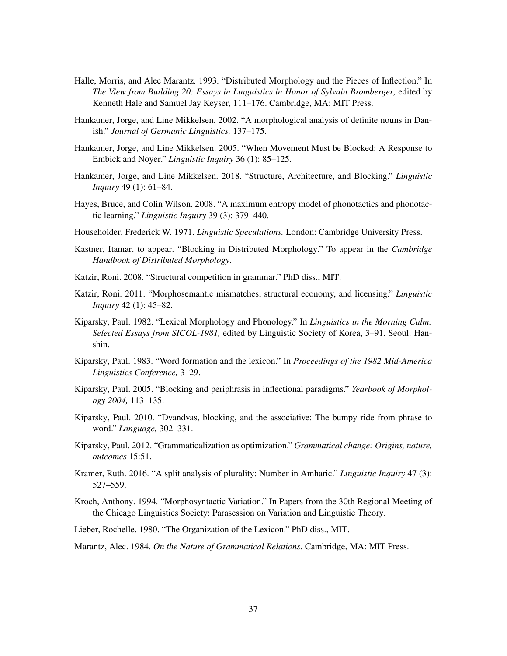- Halle, Morris, and Alec Marantz. 1993. "Distributed Morphology and the Pieces of Inflection." In *The View from Building 20: Essays in Linguistics in Honor of Sylvain Bromberger,* edited by Kenneth Hale and Samuel Jay Keyser, 111–176. Cambridge, MA: MIT Press.
- Hankamer, Jorge, and Line Mikkelsen. 2002. "A morphological analysis of definite nouns in Danish." *Journal of Germanic Linguistics,* 137–175.
- Hankamer, Jorge, and Line Mikkelsen. 2005. "When Movement Must be Blocked: A Response to Embick and Noyer." *Linguistic Inquiry* 36 (1): 85–125.
- Hankamer, Jorge, and Line Mikkelsen. 2018. "Structure, Architecture, and Blocking." *Linguistic Inquiry* 49 (1): 61–84.
- <span id="page-36-1"></span>Hayes, Bruce, and Colin Wilson. 2008. "A maximum entropy model of phonotactics and phonotactic learning." *Linguistic Inquiry* 39 (3): 379–440.
- Householder, Frederick W. 1971. *Linguistic Speculations.* London: Cambridge University Press.
- Kastner, Itamar. to appear. "Blocking in Distributed Morphology." To appear in the *Cambridge Handbook of Distributed Morphology*.
- Katzir, Roni. 2008. "Structural competition in grammar." PhD diss., MIT.
- Katzir, Roni. 2011. "Morphosemantic mismatches, structural economy, and licensing." *Linguistic Inquiry* 42 (1): 45–82.
- Kiparsky, Paul. 1982. "Lexical Morphology and Phonology." In *Linguistics in the Morning Calm: Selected Essays from SICOL-1981,* edited by Linguistic Society of Korea, 3–91. Seoul: Hanshin.
- Kiparsky, Paul. 1983. "Word formation and the lexicon." In *Proceedings of the 1982 Mid-America Linguistics Conference,* 3–29.
- Kiparsky, Paul. 2005. "Blocking and periphrasis in inflectional paradigms." *Yearbook of Morphology 2004,* 113–135.
- Kiparsky, Paul. 2010. "Dvandvas, blocking, and the associative: The bumpy ride from phrase to word." *Language,* 302–331.
- Kiparsky, Paul. 2012. "Grammaticalization as optimization." *Grammatical change: Origins, nature, outcomes* 15:51.
- <span id="page-36-0"></span>Kramer, Ruth. 2016. "A split analysis of plurality: Number in Amharic." *Linguistic Inquiry* 47 (3): 527–559.
- Kroch, Anthony. 1994. "Morphosyntactic Variation." In Papers from the 30th Regional Meeting of the Chicago Linguistics Society: Parasession on Variation and Linguistic Theory.
- Lieber, Rochelle. 1980. "The Organization of the Lexicon." PhD diss., MIT.

Marantz, Alec. 1984. *On the Nature of Grammatical Relations.* Cambridge, MA: MIT Press.